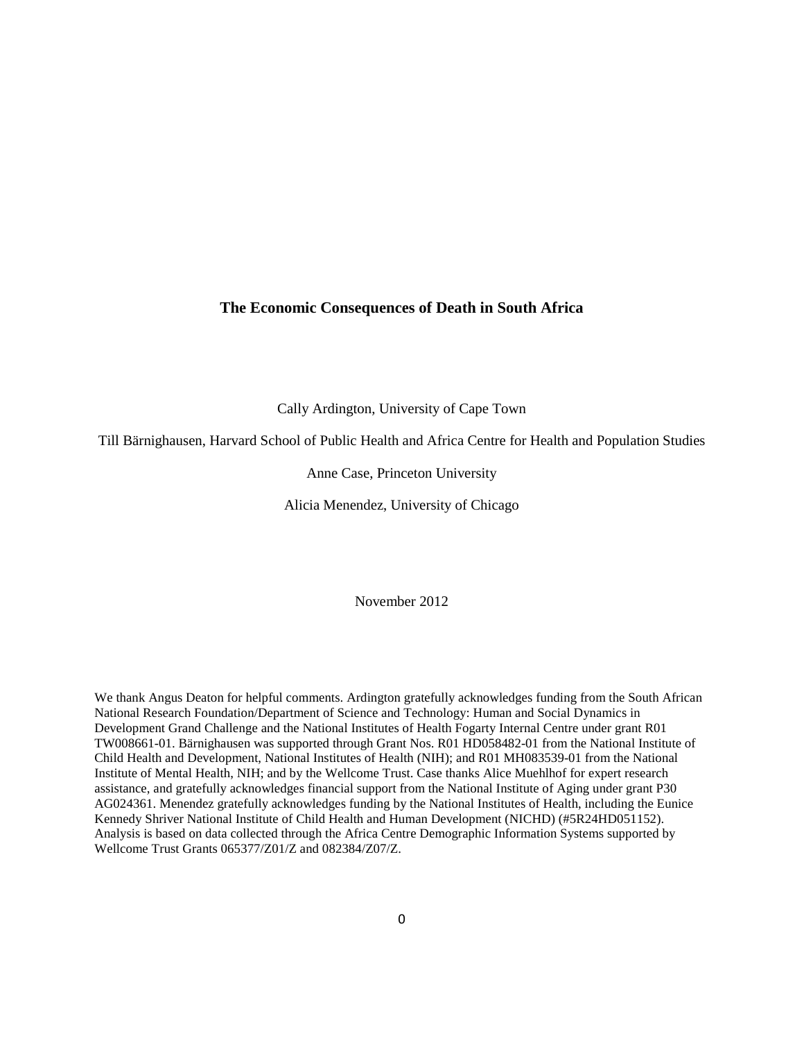### **The Economic Consequences of Death in South Africa**

Cally Ardington, University of Cape Town

Till Bärnighausen, Harvard School of Public Health and Africa Centre for Health and Population Studies

#### Anne Case, Princeton University

Alicia Menendez, University of Chicago

November 2012

We thank Angus Deaton for helpful comments. Ardington gratefully acknowledges funding from the South African National Research Foundation/Department of Science and Technology: Human and Social Dynamics in Development Grand Challenge and the National Institutes of Health Fogarty Internal Centre under grant R01 TW008661-01. Bärnighausen was supported through Grant Nos. R01 HD058482-01 from the National Institute of Child Health and Development, National Institutes of Health (NIH); and R01 MH083539-01 from the National Institute of Mental Health, NIH; and by the Wellcome Trust. Case thanks Alice Muehlhof for expert research assistance, and gratefully acknowledges financial support from the National Institute of Aging under grant P30 AG024361. Menendez gratefully acknowledges funding by the National Institutes of Health, including the Eunice Kennedy Shriver National Institute of Child Health and Human Development (NICHD) (#5R24HD051152). Analysis is based on data collected through the Africa Centre Demographic Information Systems supported by Wellcome Trust Grants 065377/Z01/Z and 082384/Z07/Z.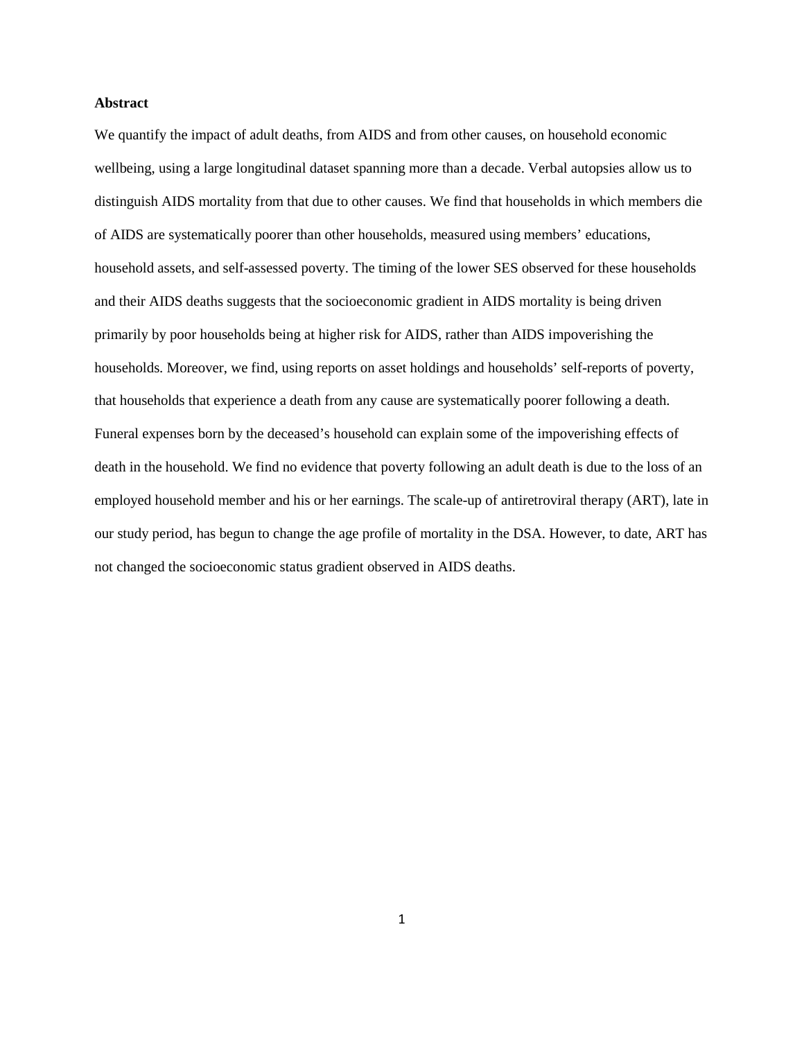#### **Abstract**

We quantify the impact of adult deaths, from AIDS and from other causes, on household economic wellbeing, using a large longitudinal dataset spanning more than a decade. Verbal autopsies allow us to distinguish AIDS mortality from that due to other causes. We find that households in which members die of AIDS are systematically poorer than other households, measured using members' educations, household assets, and self-assessed poverty. The timing of the lower SES observed for these households and their AIDS deaths suggests that the socioeconomic gradient in AIDS mortality is being driven primarily by poor households being at higher risk for AIDS, rather than AIDS impoverishing the households. Moreover, we find, using reports on asset holdings and households' self-reports of poverty, that households that experience a death from any cause are systematically poorer following a death. Funeral expenses born by the deceased's household can explain some of the impoverishing effects of death in the household. We find no evidence that poverty following an adult death is due to the loss of an employed household member and his or her earnings. The scale-up of antiretroviral therapy (ART), late in our study period, has begun to change the age profile of mortality in the DSA. However, to date, ART has not changed the socioeconomic status gradient observed in AIDS deaths.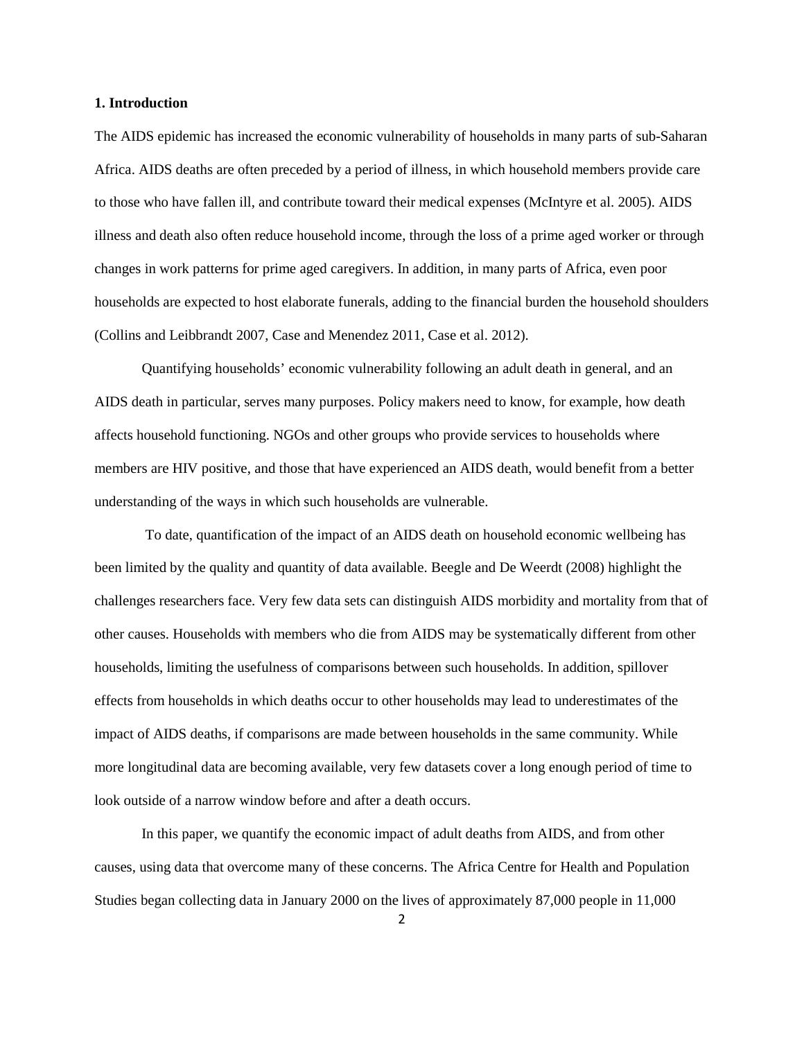#### **1. Introduction**

The AIDS epidemic has increased the economic vulnerability of households in many parts of sub-Saharan Africa. AIDS deaths are often preceded by a period of illness, in which household members provide care to those who have fallen ill, and contribute toward their medical expenses (McIntyre et al. 2005). AIDS illness and death also often reduce household income, through the loss of a prime aged worker or through changes in work patterns for prime aged caregivers. In addition, in many parts of Africa, even poor households are expected to host elaborate funerals, adding to the financial burden the household shoulders (Collins and Leibbrandt 2007, Case and Menendez 2011, Case et al. 2012).

Quantifying households' economic vulnerability following an adult death in general, and an AIDS death in particular, serves many purposes. Policy makers need to know, for example, how death affects household functioning. NGOs and other groups who provide services to households where members are HIV positive, and those that have experienced an AIDS death, would benefit from a better understanding of the ways in which such households are vulnerable.

To date, quantification of the impact of an AIDS death on household economic wellbeing has been limited by the quality and quantity of data available. Beegle and De Weerdt (2008) highlight the challenges researchers face. Very few data sets can distinguish AIDS morbidity and mortality from that of other causes. Households with members who die from AIDS may be systematically different from other households, limiting the usefulness of comparisons between such households. In addition, spillover effects from households in which deaths occur to other households may lead to underestimates of the impact of AIDS deaths, if comparisons are made between households in the same community. While more longitudinal data are becoming available, very few datasets cover a long enough period of time to look outside of a narrow window before and after a death occurs.

In this paper, we quantify the economic impact of adult deaths from AIDS, and from other causes, using data that overcome many of these concerns. The Africa Centre for Health and Population Studies began collecting data in January 2000 on the lives of approximately 87,000 people in 11,000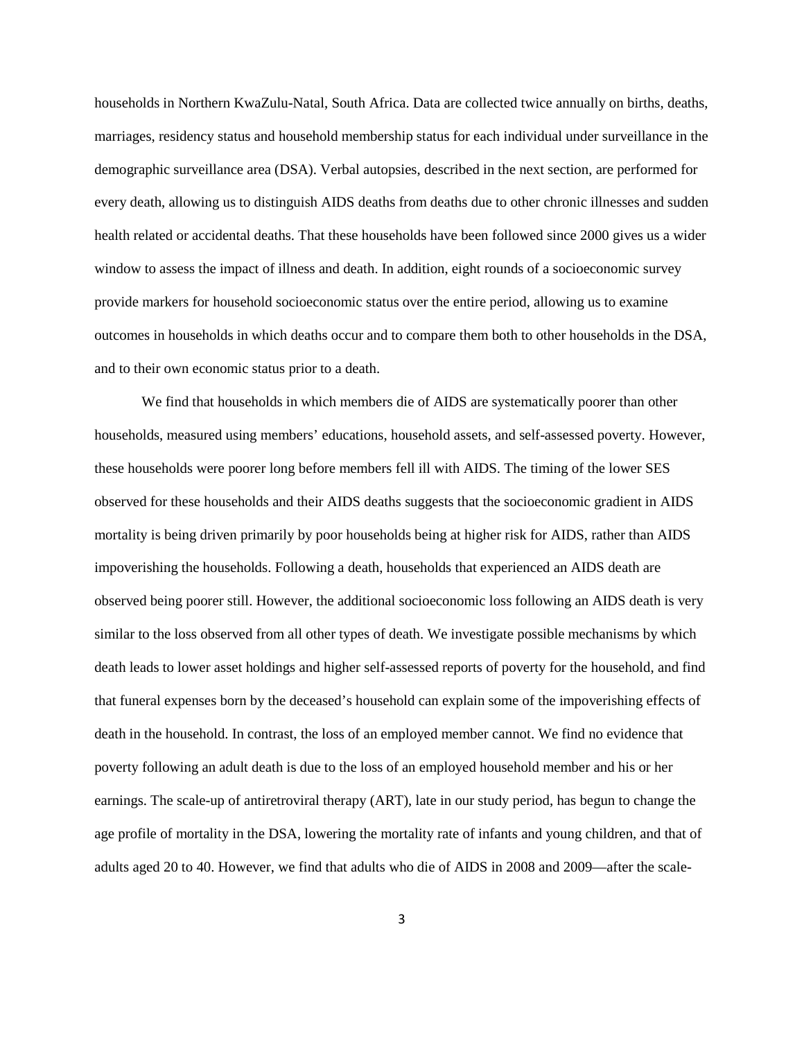households in Northern KwaZulu-Natal, South Africa. Data are collected twice annually on births, deaths, marriages, residency status and household membership status for each individual under surveillance in the demographic surveillance area (DSA). Verbal autopsies, described in the next section, are performed for every death, allowing us to distinguish AIDS deaths from deaths due to other chronic illnesses and sudden health related or accidental deaths. That these households have been followed since 2000 gives us a wider window to assess the impact of illness and death. In addition, eight rounds of a socioeconomic survey provide markers for household socioeconomic status over the entire period, allowing us to examine outcomes in households in which deaths occur and to compare them both to other households in the DSA, and to their own economic status prior to a death.

We find that households in which members die of AIDS are systematically poorer than other households, measured using members' educations, household assets, and self-assessed poverty. However, these households were poorer long before members fell ill with AIDS. The timing of the lower SES observed for these households and their AIDS deaths suggests that the socioeconomic gradient in AIDS mortality is being driven primarily by poor households being at higher risk for AIDS, rather than AIDS impoverishing the households. Following a death, households that experienced an AIDS death are observed being poorer still. However, the additional socioeconomic loss following an AIDS death is very similar to the loss observed from all other types of death. We investigate possible mechanisms by which death leads to lower asset holdings and higher self-assessed reports of poverty for the household, and find that funeral expenses born by the deceased's household can explain some of the impoverishing effects of death in the household. In contrast, the loss of an employed member cannot. We find no evidence that poverty following an adult death is due to the loss of an employed household member and his or her earnings. The scale-up of antiretroviral therapy (ART), late in our study period, has begun to change the age profile of mortality in the DSA, lowering the mortality rate of infants and young children, and that of adults aged 20 to 40. However, we find that adults who die of AIDS in 2008 and 2009—after the scale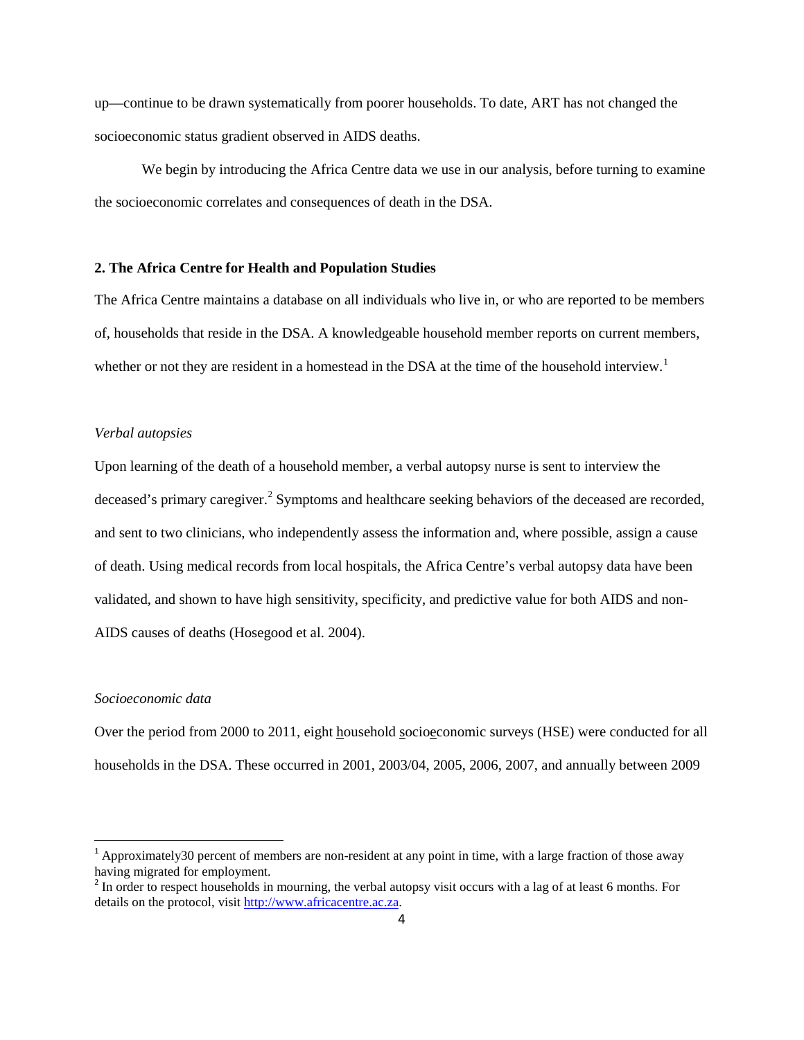up—continue to be drawn systematically from poorer households. To date, ART has not changed the socioeconomic status gradient observed in AIDS deaths.

We begin by introducing the Africa Centre data we use in our analysis, before turning to examine the socioeconomic correlates and consequences of death in the DSA.

### **2. The Africa Centre for Health and Population Studies**

The Africa Centre maintains a database on all individuals who live in, or who are reported to be members of, households that reside in the DSA. A knowledgeable household member reports on current members, whether or not they are resident in a homestead in the DSA at the time of the household interview.<sup>[1](#page-4-0)</sup>

#### *Verbal autopsies*

Upon learning of the death of a household member, a verbal autopsy nurse is sent to interview the deceased's primary caregiver.<sup>[2](#page-4-1)</sup> Symptoms and healthcare seeking behaviors of the deceased are recorded, and sent to two clinicians, who independently assess the information and, where possible, assign a cause of death. Using medical records from local hospitals, the Africa Centre's verbal autopsy data have been validated, and shown to have high sensitivity, specificity, and predictive value for both AIDS and non-AIDS causes of deaths (Hosegood et al. 2004).

#### *Socioeconomic data*

Over the period from 2000 to 2011, eight household socioeconomic surveys (HSE) were conducted for all households in the DSA. These occurred in 2001, 2003/04, 2005, 2006, 2007, and annually between 2009

<span id="page-4-0"></span> $1$  Approximately30 percent of members are non-resident at any point in time, with a large fraction of those away having migrated for employment.

<span id="page-4-1"></span><sup>&</sup>lt;sup>2</sup> In order to respect households in mourning, the verbal autopsy visit occurs with a lag of at least 6 months. For details on the protocol, visit [http://www.africacentre.ac.za.](http://www.africacentre.ac.za/)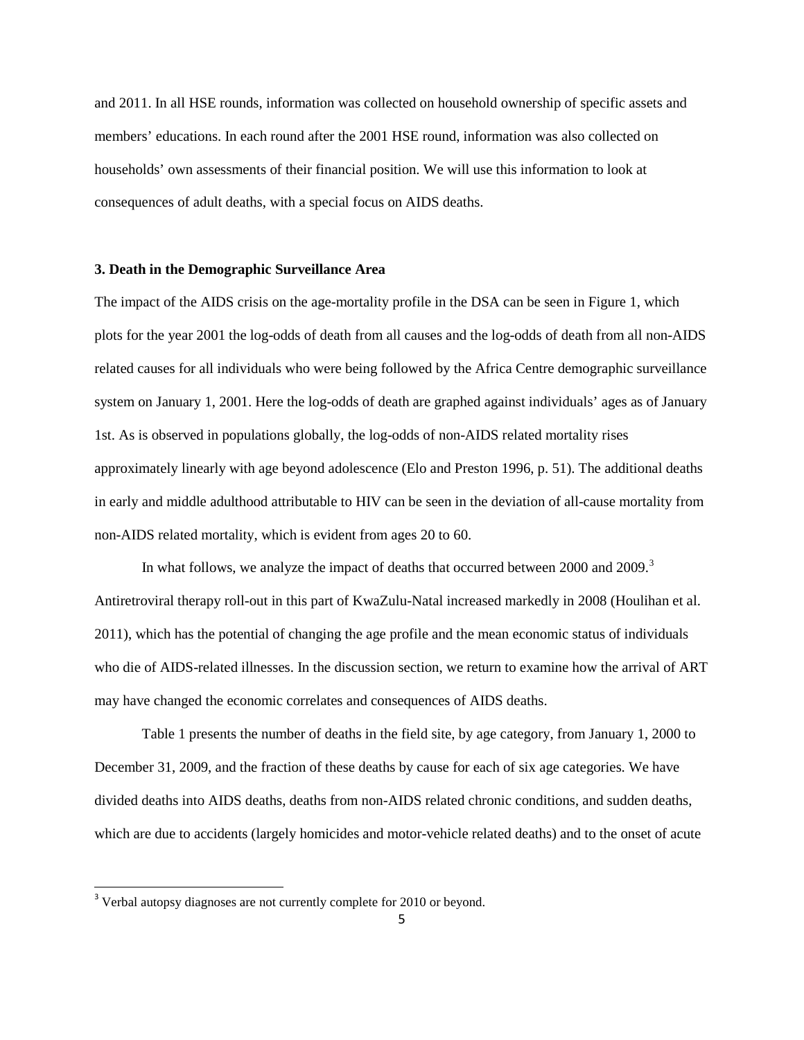and 2011. In all HSE rounds, information was collected on household ownership of specific assets and members' educations. In each round after the 2001 HSE round, information was also collected on households' own assessments of their financial position. We will use this information to look at consequences of adult deaths, with a special focus on AIDS deaths.

#### **3. Death in the Demographic Surveillance Area**

The impact of the AIDS crisis on the age-mortality profile in the DSA can be seen in Figure 1, which plots for the year 2001 the log-odds of death from all causes and the log-odds of death from all non-AIDS related causes for all individuals who were being followed by the Africa Centre demographic surveillance system on January 1, 2001. Here the log-odds of death are graphed against individuals' ages as of January 1st. As is observed in populations globally, the log-odds of non-AIDS related mortality rises approximately linearly with age beyond adolescence (Elo and Preston 1996, p. 51). The additional deaths in early and middle adulthood attributable to HIV can be seen in the deviation of all-cause mortality from non-AIDS related mortality, which is evident from ages 20 to 60.

In what follows, we analyze the impact of deaths that occurred between 2000 and 2009.<sup>[3](#page-5-0)</sup> Antiretroviral therapy roll-out in this part of KwaZulu-Natal increased markedly in 2008 (Houlihan et al. 2011), which has the potential of changing the age profile and the mean economic status of individuals who die of AIDS-related illnesses. In the discussion section, we return to examine how the arrival of ART may have changed the economic correlates and consequences of AIDS deaths.

Table 1 presents the number of deaths in the field site, by age category, from January 1, 2000 to December 31, 2009, and the fraction of these deaths by cause for each of six age categories. We have divided deaths into AIDS deaths, deaths from non-AIDS related chronic conditions, and sudden deaths, which are due to accidents (largely homicides and motor-vehicle related deaths) and to the onset of acute

<span id="page-5-0"></span><sup>&</sup>lt;sup>3</sup> Verbal autopsy diagnoses are not currently complete for 2010 or beyond.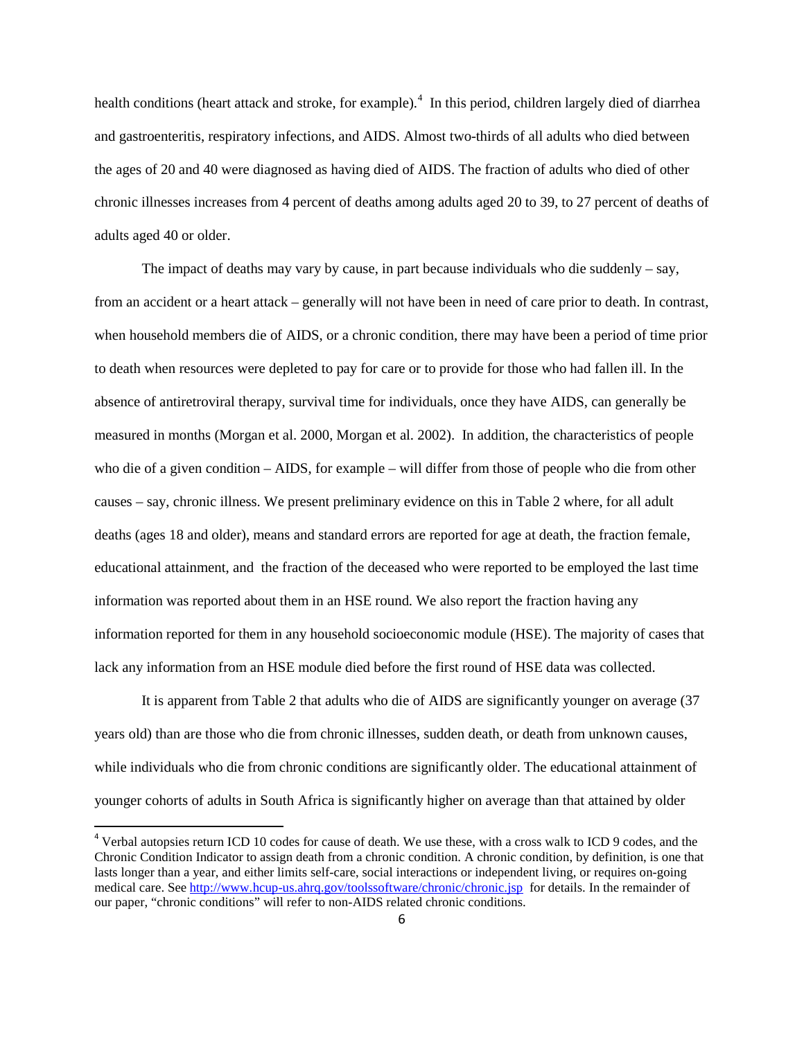health conditions (heart attack and stroke, for example).<sup>[4](#page-6-0)</sup> In this period, children largely died of diarrhea and gastroenteritis, respiratory infections, and AIDS. Almost two-thirds of all adults who died between the ages of 20 and 40 were diagnosed as having died of AIDS. The fraction of adults who died of other chronic illnesses increases from 4 percent of deaths among adults aged 20 to 39, to 27 percent of deaths of adults aged 40 or older.

The impact of deaths may vary by cause, in part because individuals who die suddenly  $-$  say, from an accident or a heart attack – generally will not have been in need of care prior to death. In contrast, when household members die of AIDS, or a chronic condition, there may have been a period of time prior to death when resources were depleted to pay for care or to provide for those who had fallen ill. In the absence of antiretroviral therapy, survival time for individuals, once they have AIDS, can generally be measured in months (Morgan et al. 2000, Morgan et al. 2002). In addition, the characteristics of people who die of a given condition – AIDS, for example – will differ from those of people who die from other causes – say, chronic illness. We present preliminary evidence on this in Table 2 where, for all adult deaths (ages 18 and older), means and standard errors are reported for age at death, the fraction female, educational attainment, and the fraction of the deceased who were reported to be employed the last time information was reported about them in an HSE round. We also report the fraction having any information reported for them in any household socioeconomic module (HSE). The majority of cases that lack any information from an HSE module died before the first round of HSE data was collected.

It is apparent from Table 2 that adults who die of AIDS are significantly younger on average (37 years old) than are those who die from chronic illnesses, sudden death, or death from unknown causes, while individuals who die from chronic conditions are significantly older. The educational attainment of younger cohorts of adults in South Africa is significantly higher on average than that attained by older

<span id="page-6-0"></span><sup>&</sup>lt;sup>4</sup> Verbal autopsies return ICD 10 codes for cause of death. We use these, with a cross walk to ICD 9 codes, and the Chronic Condition Indicator to assign death from a chronic condition. A chronic condition, by definition, is one that lasts longer than a year, and either limits self-care, social interactions or independent living, or requires on-going medical care. See <http://www.hcup-us.ahrq.gov/toolssoftware/chronic/chronic.jsp> for details. In the remainder of our paper, "chronic conditions" will refer to non-AIDS related chronic conditions.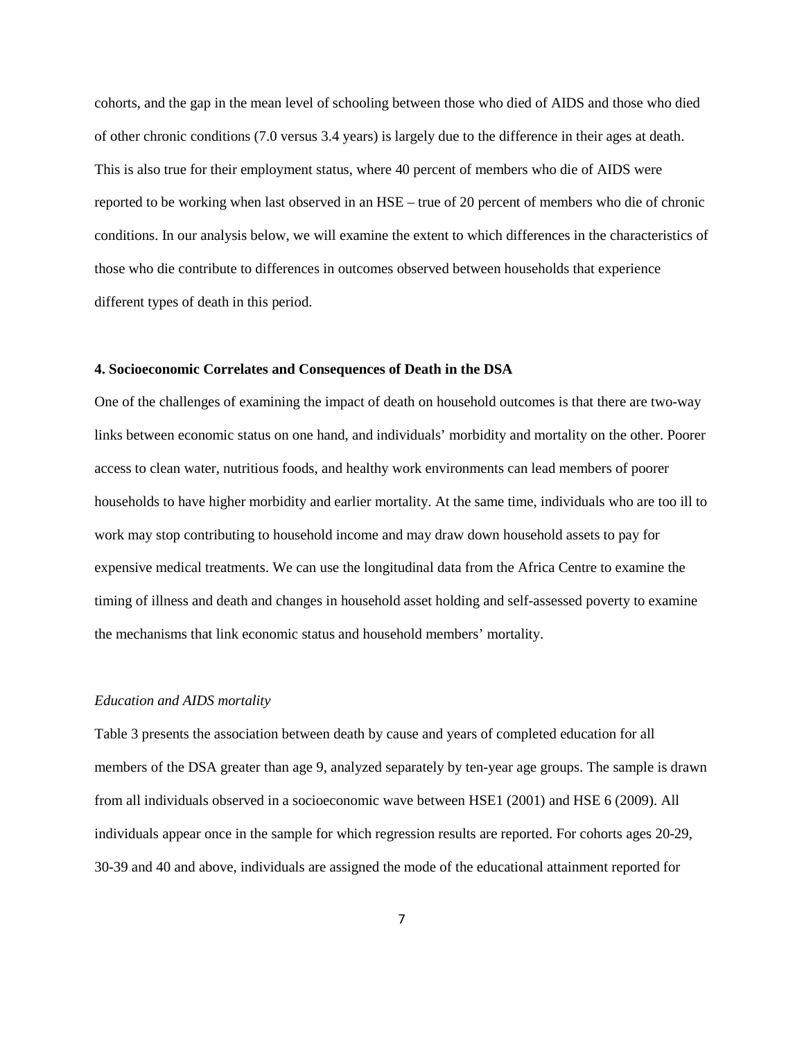cohorts, and the gap in the mean level of schooling between those who died of AIDS and those who died of other chronic conditions (7.0 versus 3.4 years) is largely due to the difference in their ages at death. This is also true for their employment status, where 40 percent of members who die of AIDS were reported to be working when last observed in an HSE – true of 20 percent of members who die of chronic conditions. In our analysis below, we will examine the extent to which differences in the characteristics of those who die contribute to differences in outcomes observed between households that experience different types of death in this period.

### **4. Socioeconomic Correlates and Consequences of Death in the DSA**

One of the challenges of examining the impact of death on household outcomes is that there are two-way links between economic status on one hand, and individuals' morbidity and mortality on the other. Poorer access to clean water, nutritious foods, and healthy work environments can lead members of poorer households to have higher morbidity and earlier mortality. At the same time, individuals who are too ill to work may stop contributing to household income and may draw down household assets to pay for expensive medical treatments. We can use the longitudinal data from the Africa Centre to examine the timing of illness and death and changes in household asset holding and self-assessed poverty to examine the mechanisms that link economic status and household members' mortality.

#### *Education and AIDS mortality*

Table 3 presents the association between death by cause and years of completed education for all members of the DSA greater than age 9, analyzed separately by ten-year age groups. The sample is drawn from all individuals observed in a socioeconomic wave between HSE1 (2001) and HSE 6 (2009). All individuals appear once in the sample for which regression results are reported. For cohorts ages 20-29, 30-39 and 40 and above, individuals are assigned the mode of the educational attainment reported for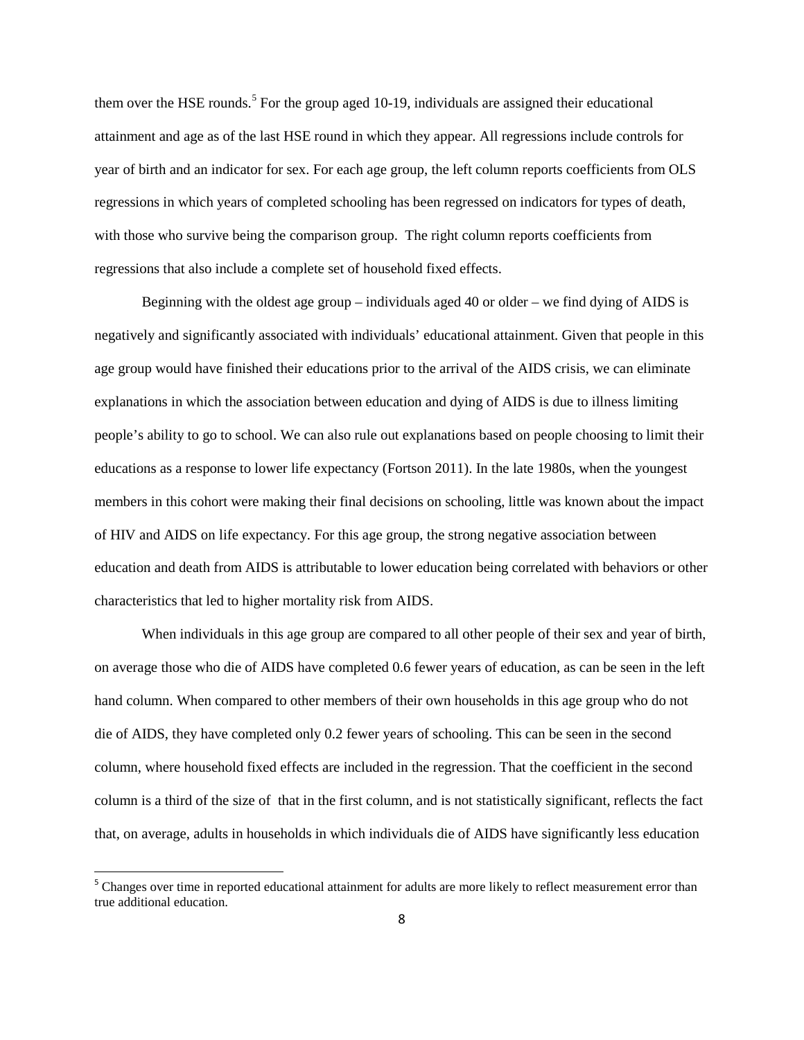them over the HSE rounds.<sup>[5](#page-8-0)</sup> For the group aged 10-19, individuals are assigned their educational attainment and age as of the last HSE round in which they appear. All regressions include controls for year of birth and an indicator for sex. For each age group, the left column reports coefficients from OLS regressions in which years of completed schooling has been regressed on indicators for types of death, with those who survive being the comparison group. The right column reports coefficients from regressions that also include a complete set of household fixed effects.

Beginning with the oldest age group – individuals aged 40 or older – we find dying of AIDS is negatively and significantly associated with individuals' educational attainment. Given that people in this age group would have finished their educations prior to the arrival of the AIDS crisis, we can eliminate explanations in which the association between education and dying of AIDS is due to illness limiting people's ability to go to school. We can also rule out explanations based on people choosing to limit their educations as a response to lower life expectancy (Fortson 2011). In the late 1980s, when the youngest members in this cohort were making their final decisions on schooling, little was known about the impact of HIV and AIDS on life expectancy. For this age group, the strong negative association between education and death from AIDS is attributable to lower education being correlated with behaviors or other characteristics that led to higher mortality risk from AIDS.

When individuals in this age group are compared to all other people of their sex and year of birth, on average those who die of AIDS have completed 0.6 fewer years of education, as can be seen in the left hand column. When compared to other members of their own households in this age group who do not die of AIDS, they have completed only 0.2 fewer years of schooling. This can be seen in the second column, where household fixed effects are included in the regression. That the coefficient in the second column is a third of the size of that in the first column, and is not statistically significant, reflects the fact that, on average, adults in households in which individuals die of AIDS have significantly less education

<span id="page-8-0"></span><sup>&</sup>lt;sup>5</sup> Changes over time in reported educational attainment for adults are more likely to reflect measurement error than true additional education.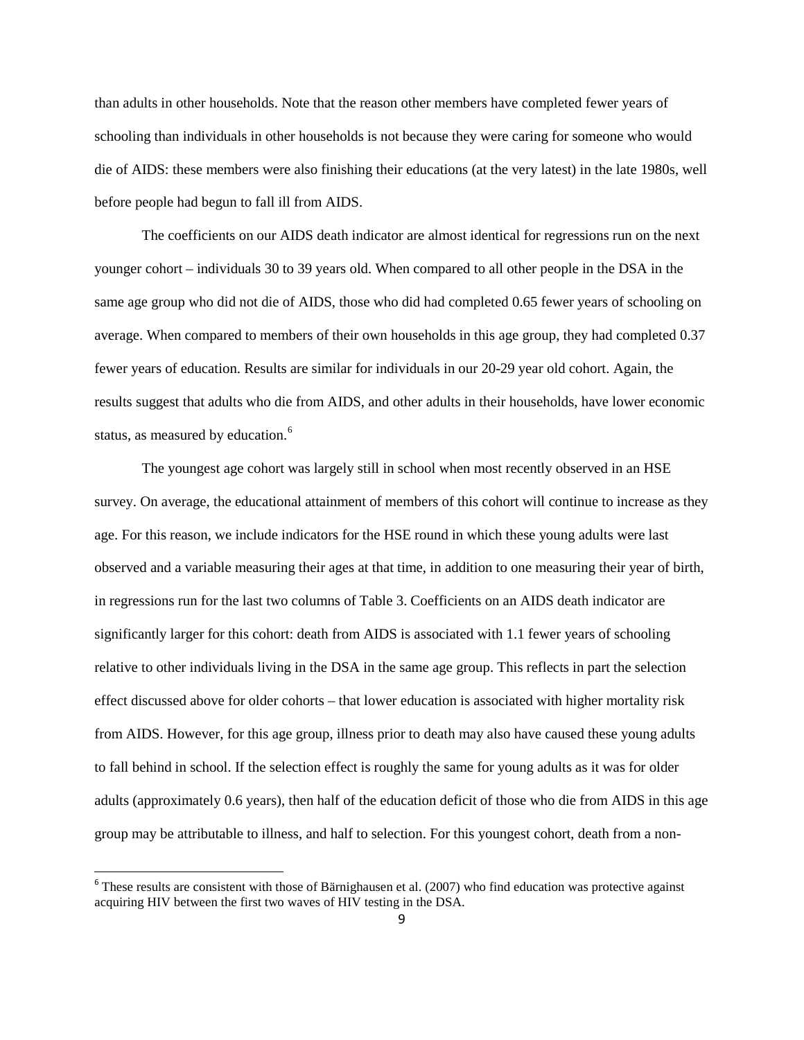than adults in other households. Note that the reason other members have completed fewer years of schooling than individuals in other households is not because they were caring for someone who would die of AIDS: these members were also finishing their educations (at the very latest) in the late 1980s, well before people had begun to fall ill from AIDS.

The coefficients on our AIDS death indicator are almost identical for regressions run on the next younger cohort – individuals 30 to 39 years old. When compared to all other people in the DSA in the same age group who did not die of AIDS, those who did had completed 0.65 fewer years of schooling on average. When compared to members of their own households in this age group, they had completed 0.37 fewer years of education. Results are similar for individuals in our 20-29 year old cohort. Again, the results suggest that adults who die from AIDS, and other adults in their households, have lower economic status, as measured by education.<sup>[6](#page-9-0)</sup>

The youngest age cohort was largely still in school when most recently observed in an HSE survey. On average, the educational attainment of members of this cohort will continue to increase as they age. For this reason, we include indicators for the HSE round in which these young adults were last observed and a variable measuring their ages at that time, in addition to one measuring their year of birth, in regressions run for the last two columns of Table 3. Coefficients on an AIDS death indicator are significantly larger for this cohort: death from AIDS is associated with 1.1 fewer years of schooling relative to other individuals living in the DSA in the same age group. This reflects in part the selection effect discussed above for older cohorts – that lower education is associated with higher mortality risk from AIDS. However, for this age group, illness prior to death may also have caused these young adults to fall behind in school. If the selection effect is roughly the same for young adults as it was for older adults (approximately 0.6 years), then half of the education deficit of those who die from AIDS in this age group may be attributable to illness, and half to selection. For this youngest cohort, death from a non-

<span id="page-9-0"></span> $6$  These results are consistent with those of Bärnighausen et al. (2007) who find education was protective against acquiring HIV between the first two waves of HIV testing in the DSA.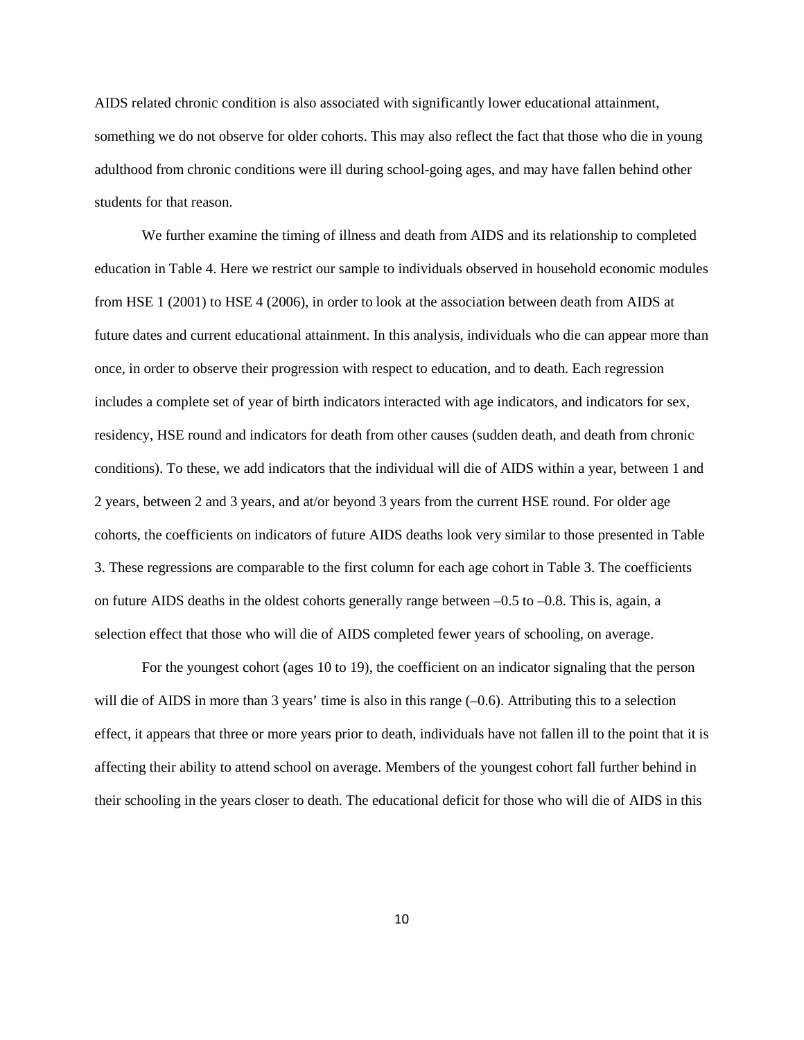AIDS related chronic condition is also associated with significantly lower educational attainment, something we do not observe for older cohorts. This may also reflect the fact that those who die in young adulthood from chronic conditions were ill during school-going ages, and may have fallen behind other students for that reason.

We further examine the timing of illness and death from AIDS and its relationship to completed education in Table 4. Here we restrict our sample to individuals observed in household economic modules from HSE 1 (2001) to HSE 4 (2006), in order to look at the association between death from AIDS at future dates and current educational attainment. In this analysis, individuals who die can appear more than once, in order to observe their progression with respect to education, and to death. Each regression includes a complete set of year of birth indicators interacted with age indicators, and indicators for sex, residency, HSE round and indicators for death from other causes (sudden death, and death from chronic conditions). To these, we add indicators that the individual will die of AIDS within a year, between 1 and 2 years, between 2 and 3 years, and at/or beyond 3 years from the current HSE round. For older age cohorts, the coefficients on indicators of future AIDS deaths look very similar to those presented in Table 3. These regressions are comparable to the first column for each age cohort in Table 3. The coefficients on future AIDS deaths in the oldest cohorts generally range between –0.5 to –0.8. This is, again, a selection effect that those who will die of AIDS completed fewer years of schooling, on average.

For the youngest cohort (ages 10 to 19), the coefficient on an indicator signaling that the person will die of AIDS in more than 3 years' time is also in this range (-0.6). Attributing this to a selection effect, it appears that three or more years prior to death, individuals have not fallen ill to the point that it is affecting their ability to attend school on average. Members of the youngest cohort fall further behind in their schooling in the years closer to death. The educational deficit for those who will die of AIDS in this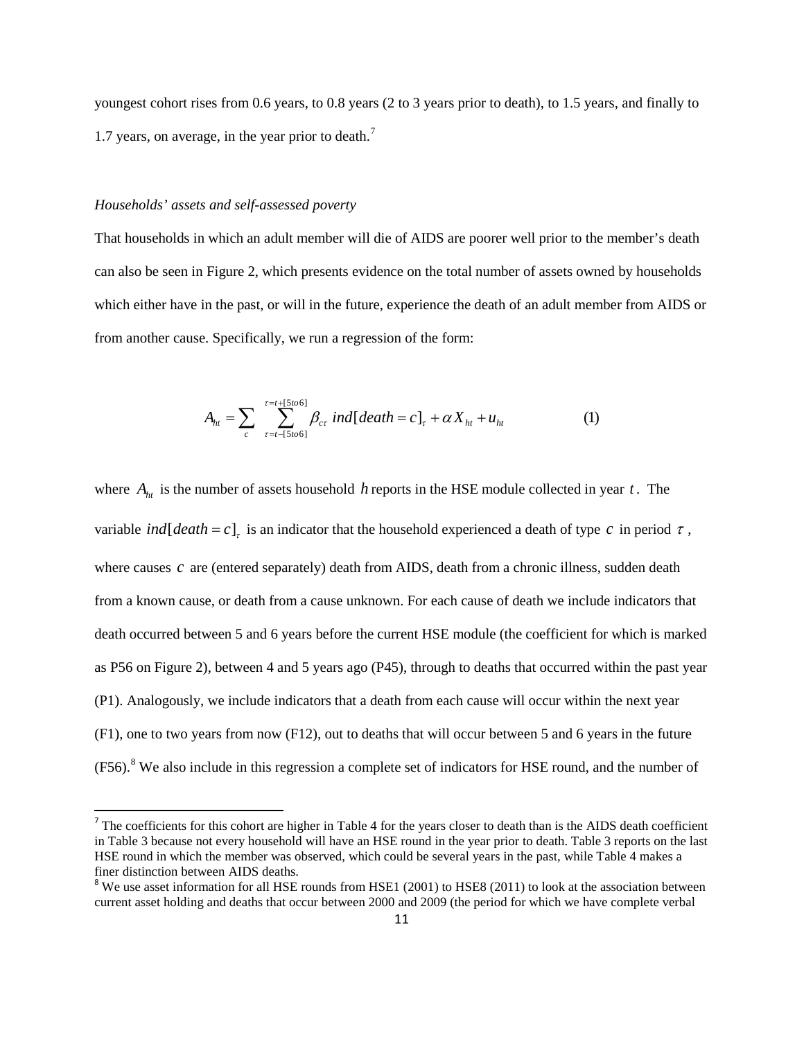youngest cohort rises from 0.6 years, to 0.8 years (2 to 3 years prior to death), to 1.5 years, and finally to 1.[7](#page-11-0) years, on average, in the year prior to death.<sup>7</sup>

#### *Households' assets and self-assessed poverty*

That households in which an adult member will die of AIDS are poorer well prior to the member's death can also be seen in Figure 2, which presents evidence on the total number of assets owned by households which either have in the past, or will in the future, experience the death of an adult member from AIDS or from another cause. Specifically, we run a regression of the form:

$$
A_{ht} = \sum_{c} \sum_{\tau=t-[5to6]}^{\tau=t+[5to6]} \beta_{cr} \text{ ind}[death = c]_{\tau} + \alpha X_{ht} + u_{ht} \tag{1}
$$

where *Aht* is the number of assets household *h* reports in the HSE module collected in year *t* . The variable *ind*  $[death = c]$ <sub>r</sub> is an indicator that the household experienced a death of type *c* in period  $\tau$ , where causes *c* are (entered separately) death from AIDS, death from a chronic illness, sudden death from a known cause, or death from a cause unknown. For each cause of death we include indicators that death occurred between 5 and 6 years before the current HSE module (the coefficient for which is marked as P56 on Figure 2), between 4 and 5 years ago (P45), through to deaths that occurred within the past year (P1). Analogously, we include indicators that a death from each cause will occur within the next year (F1), one to two years from now (F12), out to deaths that will occur between 5 and 6 years in the future  $(F56)$ .<sup>[8](#page-11-1)</sup> We also include in this regression a complete set of indicators for HSE round, and the number of

<span id="page-11-0"></span> $<sup>7</sup>$  The coefficients for this cohort are higher in Table 4 for the years closer to death than is the AIDS death coefficient</sup> in Table 3 because not every household will have an HSE round in the year prior to death. Table 3 reports on the last HSE round in which the member was observed, which could be several years in the past, while Table 4 makes a finer distinction between AIDS deaths.

<span id="page-11-1"></span><sup>&</sup>lt;sup>8</sup> We use asset information for all HSE rounds from HSE1 (2001) to HSE8 (2011) to look at the association between current asset holding and deaths that occur between 2000 and 2009 (the period for which we have complete verbal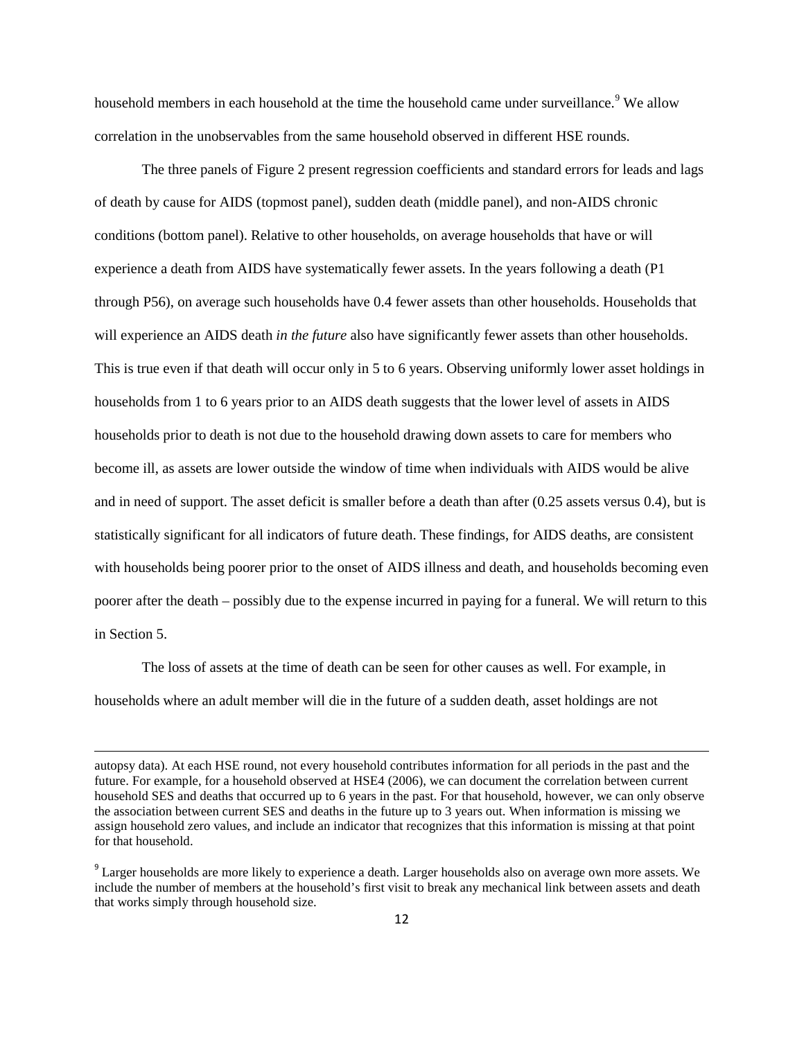household members in each household at the time the household came under surveillance.<sup>[9](#page-12-0)</sup> We allow correlation in the unobservables from the same household observed in different HSE rounds.

The three panels of Figure 2 present regression coefficients and standard errors for leads and lags of death by cause for AIDS (topmost panel), sudden death (middle panel), and non-AIDS chronic conditions (bottom panel). Relative to other households, on average households that have or will experience a death from AIDS have systematically fewer assets. In the years following a death (P1 through P56), on average such households have 0.4 fewer assets than other households. Households that will experience an AIDS death *in the future* also have significantly fewer assets than other households. This is true even if that death will occur only in 5 to 6 years. Observing uniformly lower asset holdings in households from 1 to 6 years prior to an AIDS death suggests that the lower level of assets in AIDS households prior to death is not due to the household drawing down assets to care for members who become ill, as assets are lower outside the window of time when individuals with AIDS would be alive and in need of support. The asset deficit is smaller before a death than after (0.25 assets versus 0.4), but is statistically significant for all indicators of future death. These findings, for AIDS deaths, are consistent with households being poorer prior to the onset of AIDS illness and death, and households becoming even poorer after the death – possibly due to the expense incurred in paying for a funeral. We will return to this in Section 5.

The loss of assets at the time of death can be seen for other causes as well. For example, in households where an adult member will die in the future of a sudden death, asset holdings are not

 $\overline{\phantom{a}}$ 

autopsy data). At each HSE round, not every household contributes information for all periods in the past and the future. For example, for a household observed at HSE4 (2006), we can document the correlation between current household SES and deaths that occurred up to 6 years in the past. For that household, however, we can only observe the association between current SES and deaths in the future up to 3 years out. When information is missing we assign household zero values, and include an indicator that recognizes that this information is missing at that point for that household.

<span id="page-12-0"></span><sup>&</sup>lt;sup>9</sup> Larger households are more likely to experience a death. Larger households also on average own more assets. We include the number of members at the household's first visit to break any mechanical link between assets and death that works simply through household size.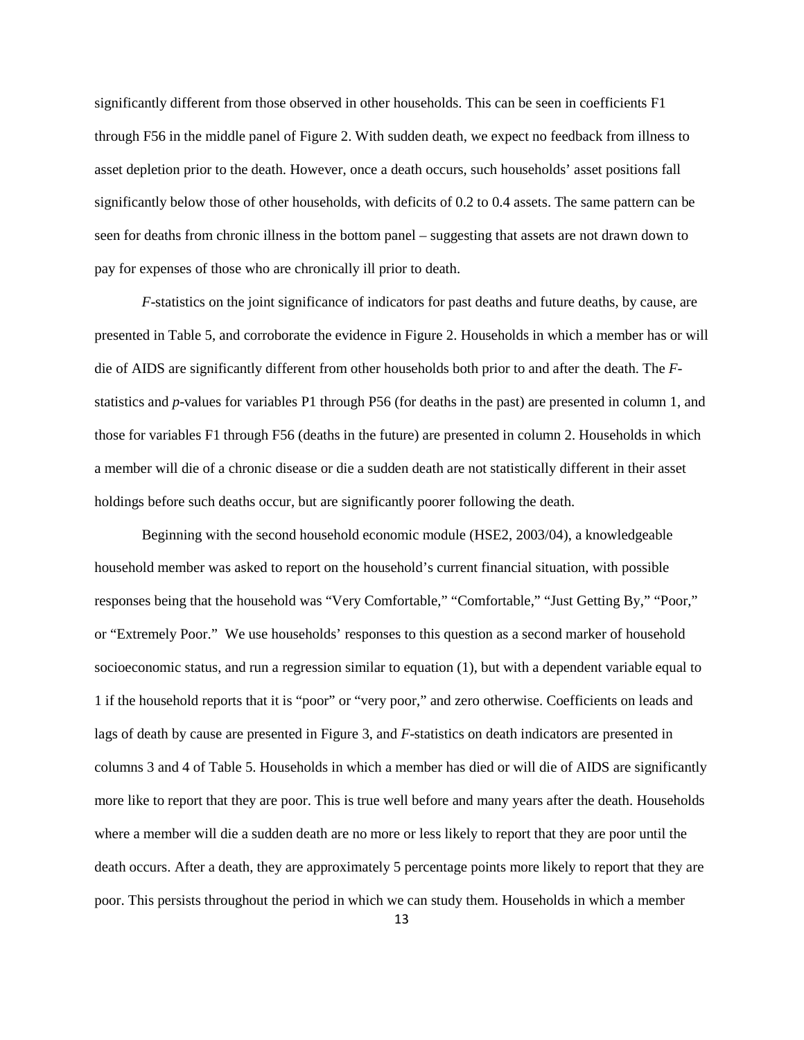significantly different from those observed in other households. This can be seen in coefficients F1 through F56 in the middle panel of Figure 2. With sudden death, we expect no feedback from illness to asset depletion prior to the death. However, once a death occurs, such households' asset positions fall significantly below those of other households, with deficits of 0.2 to 0.4 assets. The same pattern can be seen for deaths from chronic illness in the bottom panel – suggesting that assets are not drawn down to pay for expenses of those who are chronically ill prior to death.

*F*-statistics on the joint significance of indicators for past deaths and future deaths, by cause, are presented in Table 5, and corroborate the evidence in Figure 2. Households in which a member has or will die of AIDS are significantly different from other households both prior to and after the death. The *F*statistics and *p*-values for variables P1 through P56 (for deaths in the past) are presented in column 1, and those for variables F1 through F56 (deaths in the future) are presented in column 2. Households in which a member will die of a chronic disease or die a sudden death are not statistically different in their asset holdings before such deaths occur, but are significantly poorer following the death.

Beginning with the second household economic module (HSE2, 2003/04), a knowledgeable household member was asked to report on the household's current financial situation, with possible responses being that the household was "Very Comfortable," "Comfortable," "Just Getting By," "Poor," or "Extremely Poor." We use households' responses to this question as a second marker of household socioeconomic status, and run a regression similar to equation (1), but with a dependent variable equal to 1 if the household reports that it is "poor" or "very poor," and zero otherwise. Coefficients on leads and lags of death by cause are presented in Figure 3, and *F*-statistics on death indicators are presented in columns 3 and 4 of Table 5. Households in which a member has died or will die of AIDS are significantly more like to report that they are poor. This is true well before and many years after the death. Households where a member will die a sudden death are no more or less likely to report that they are poor until the death occurs. After a death, they are approximately 5 percentage points more likely to report that they are poor. This persists throughout the period in which we can study them. Households in which a member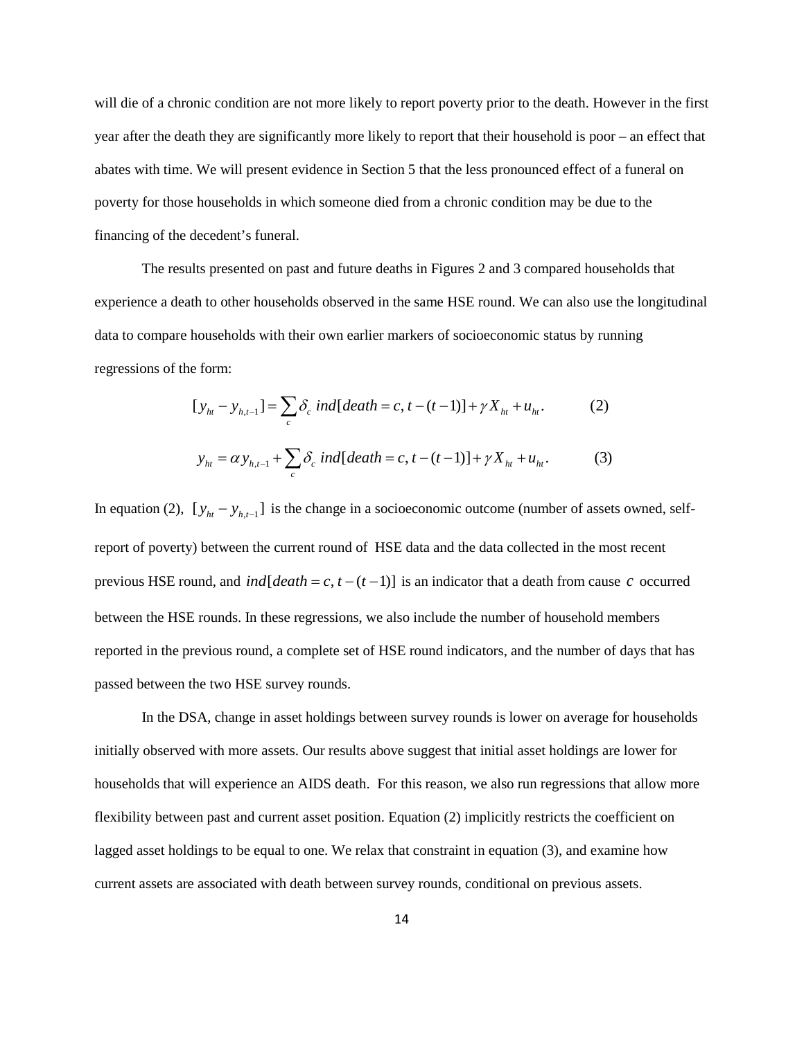will die of a chronic condition are not more likely to report poverty prior to the death. However in the first year after the death they are significantly more likely to report that their household is poor – an effect that abates with time. We will present evidence in Section 5 that the less pronounced effect of a funeral on poverty for those households in which someone died from a chronic condition may be due to the financing of the decedent's funeral.

The results presented on past and future deaths in Figures 2 and 3 compared households that experience a death to other households observed in the same HSE round. We can also use the longitudinal data to compare households with their own earlier markers of socioeconomic status by running regressions of the form:

$$
[y_{ht} - y_{h,t-1}] = \sum_{c} \delta_c \ ind[death = c, t - (t-1)] + \gamma X_{ht} + u_{ht}. \tag{2}
$$

$$
y_{ht} = \alpha y_{h,t-1} + \sum_{c} \delta_c \ ind[death = c, t - (t-1)] + \gamma X_{ht} + u_{ht}. \tag{3}
$$

In equation (2),  $[y_{ht} - y_{h,t-1}]$  is the change in a socioeconomic outcome (number of assets owned, selfreport of poverty) between the current round of HSE data and the data collected in the most recent previous HSE round, and *ind*[ $death = c, t - (t - 1)$ ] is an indicator that a death from cause *c* occurred between the HSE rounds. In these regressions, we also include the number of household members reported in the previous round, a complete set of HSE round indicators, and the number of days that has passed between the two HSE survey rounds.

In the DSA, change in asset holdings between survey rounds is lower on average for households initially observed with more assets. Our results above suggest that initial asset holdings are lower for households that will experience an AIDS death. For this reason, we also run regressions that allow more flexibility between past and current asset position. Equation (2) implicitly restricts the coefficient on lagged asset holdings to be equal to one. We relax that constraint in equation (3), and examine how current assets are associated with death between survey rounds, conditional on previous assets.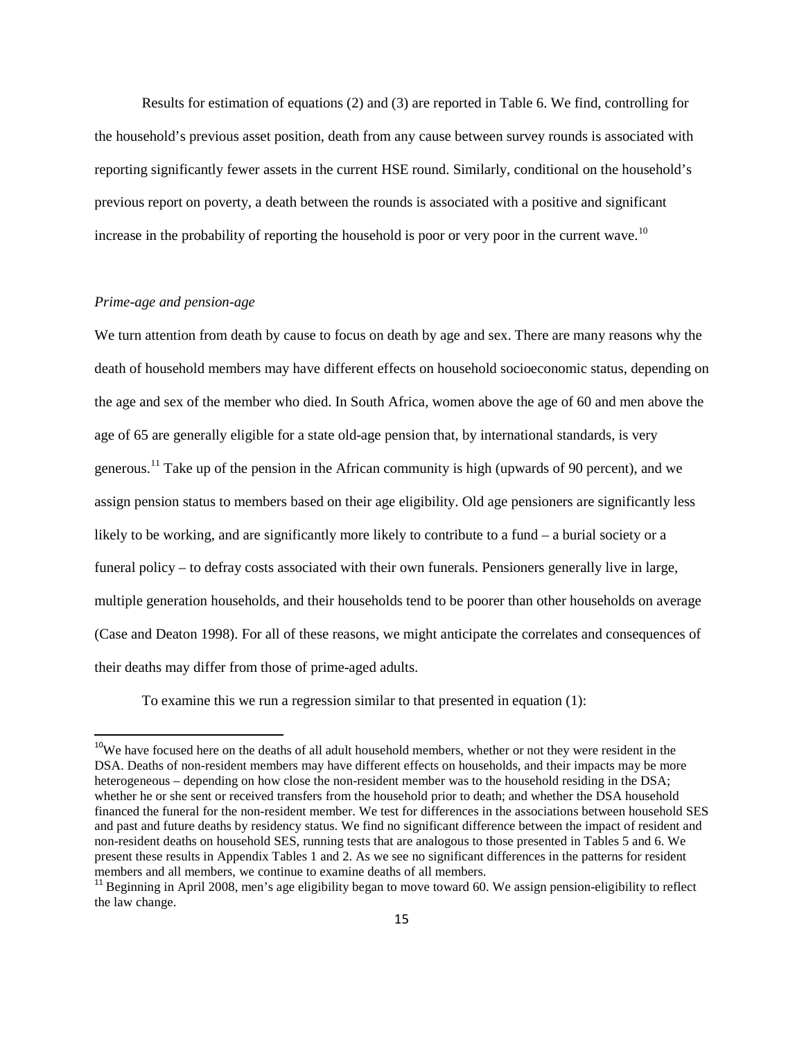Results for estimation of equations (2) and (3) are reported in Table 6. We find, controlling for the household's previous asset position, death from any cause between survey rounds is associated with reporting significantly fewer assets in the current HSE round. Similarly, conditional on the household's previous report on poverty, a death between the rounds is associated with a positive and significant increase in the probability of reporting the household is poor or very poor in the current wave.<sup>[10](#page-15-0)</sup>

### *Prime-age and pension-age*

We turn attention from death by cause to focus on death by age and sex. There are many reasons why the death of household members may have different effects on household socioeconomic status, depending on the age and sex of the member who died. In South Africa, women above the age of 60 and men above the age of 65 are generally eligible for a state old-age pension that, by international standards, is very generous.<sup>[11](#page-15-1)</sup> Take up of the pension in the African community is high (upwards of 90 percent), and we assign pension status to members based on their age eligibility. Old age pensioners are significantly less likely to be working, and are significantly more likely to contribute to a fund – a burial society or a funeral policy – to defray costs associated with their own funerals. Pensioners generally live in large, multiple generation households, and their households tend to be poorer than other households on average (Case and Deaton 1998). For all of these reasons, we might anticipate the correlates and consequences of their deaths may differ from those of prime-aged adults.

To examine this we run a regression similar to that presented in equation (1):

<span id="page-15-0"></span><sup>&</sup>lt;sup>10</sup>We have focused here on the deaths of all adult household members, whether or not they were resident in the DSA. Deaths of non-resident members may have different effects on households, and their impacts may be more heterogeneous – depending on how close the non-resident member was to the household residing in the DSA; whether he or she sent or received transfers from the household prior to death; and whether the DSA household financed the funeral for the non-resident member. We test for differences in the associations between household SES and past and future deaths by residency status. We find no significant difference between the impact of resident and non-resident deaths on household SES, running tests that are analogous to those presented in Tables 5 and 6. We present these results in Appendix Tables 1 and 2. As we see no significant differences in the patterns for resident members and all members, we continue to examine deaths of all members.

<span id="page-15-1"></span> $11$  Beginning in April 2008, men's age eligibility began to move toward 60. We assign pension-eligibility to reflect the law change.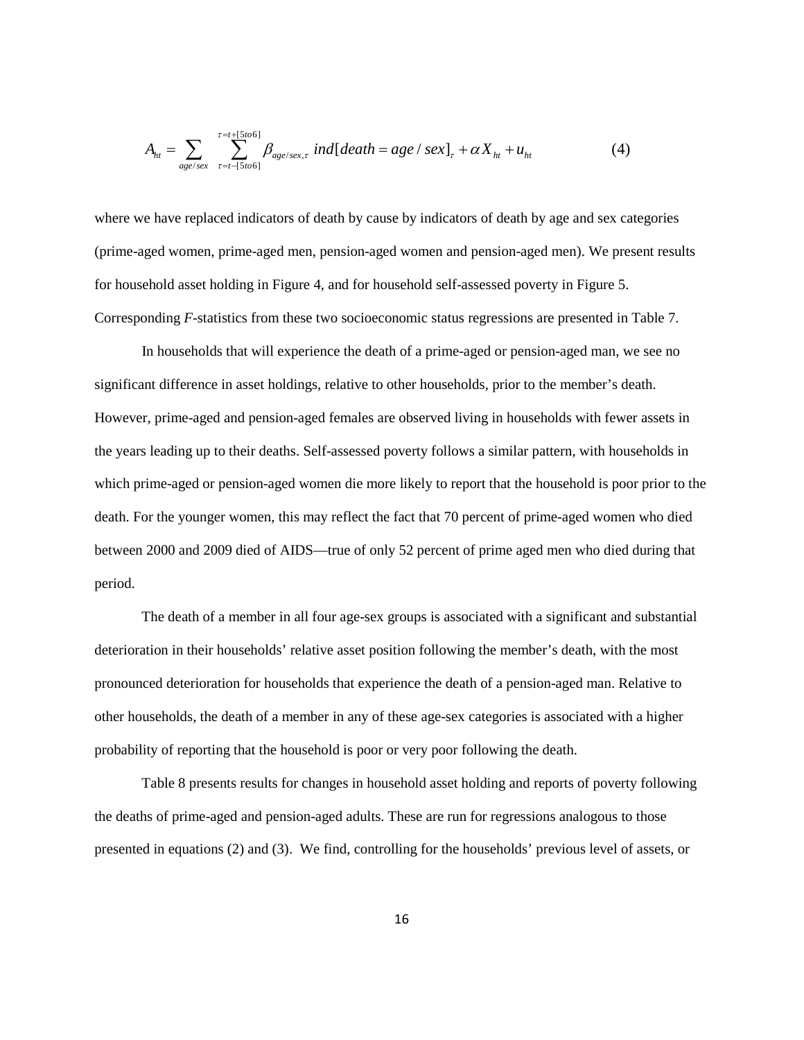$$
A_{ht} = \sum_{age/sec} \sum_{\tau=t-\lceil 5to6 \rceil}^{\tau=t+\lceil 5to6 \rceil} \beta_{age/sec,\tau} \text{ ind[death = age / sex]}_{\tau} + \alpha X_{ht} + u_{ht}
$$
(4)

where we have replaced indicators of death by cause by indicators of death by age and sex categories (prime-aged women, prime-aged men, pension-aged women and pension-aged men). We present results for household asset holding in Figure 4, and for household self-assessed poverty in Figure 5. Corresponding *F*-statistics from these two socioeconomic status regressions are presented in Table 7.

In households that will experience the death of a prime-aged or pension-aged man, we see no significant difference in asset holdings, relative to other households, prior to the member's death. However, prime-aged and pension-aged females are observed living in households with fewer assets in the years leading up to their deaths. Self-assessed poverty follows a similar pattern, with households in which prime-aged or pension-aged women die more likely to report that the household is poor prior to the death. For the younger women, this may reflect the fact that 70 percent of prime-aged women who died between 2000 and 2009 died of AIDS—true of only 52 percent of prime aged men who died during that period.

The death of a member in all four age-sex groups is associated with a significant and substantial deterioration in their households' relative asset position following the member's death, with the most pronounced deterioration for households that experience the death of a pension-aged man. Relative to other households, the death of a member in any of these age-sex categories is associated with a higher probability of reporting that the household is poor or very poor following the death.

Table 8 presents results for changes in household asset holding and reports of poverty following the deaths of prime-aged and pension-aged adults. These are run for regressions analogous to those presented in equations (2) and (3). We find, controlling for the households' previous level of assets, or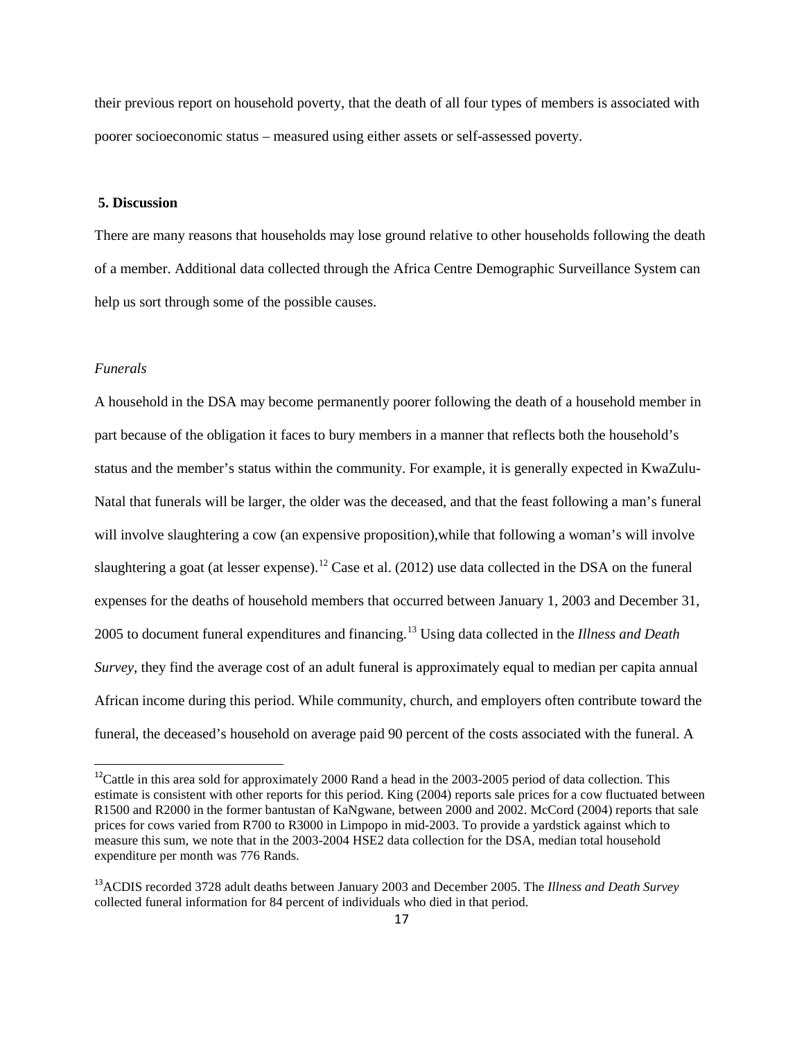their previous report on household poverty, that the death of all four types of members is associated with poorer socioeconomic status – measured using either assets or self-assessed poverty.

### **5. Discussion**

There are many reasons that households may lose ground relative to other households following the death of a member. Additional data collected through the Africa Centre Demographic Surveillance System can help us sort through some of the possible causes.

### *Funerals*

A household in the DSA may become permanently poorer following the death of a household member in part because of the obligation it faces to bury members in a manner that reflects both the household's status and the member's status within the community. For example, it is generally expected in KwaZulu-Natal that funerals will be larger, the older was the deceased, and that the feast following a man's funeral will involve slaughtering a cow (an expensive proposition),while that following a woman's will involve slaughtering a goat (at lesser expense).<sup>[12](#page-17-0)</sup> Case et al. (2012) use data collected in the DSA on the funeral expenses for the deaths of household members that occurred between January 1, 2003 and December 31, 2005 to document funeral expenditures and financing.[13](#page-17-1) Using data collected in the *Illness and Death Survey*, they find the average cost of an adult funeral is approximately equal to median per capita annual African income during this period. While community, church, and employers often contribute toward the funeral, the deceased's household on average paid 90 percent of the costs associated with the funeral. A

<span id="page-17-0"></span><sup>&</sup>lt;sup>12</sup>Cattle in this area sold for approximately 2000 Rand a head in the 2003-2005 period of data collection. This estimate is consistent with other reports for this period. King (2004) reports sale prices for a cow fluctuated between R1500 and R2000 in the former bantustan of KaNgwane, between 2000 and 2002. McCord (2004) reports that sale prices for cows varied from R700 to R3000 in Limpopo in mid-2003. To provide a yardstick against which to measure this sum, we note that in the 2003-2004 HSE2 data collection for the DSA, median total household expenditure per month was 776 Rands.

<span id="page-17-1"></span><sup>13</sup>ACDIS recorded 3728 adult deaths between January 2003 and December 2005. The *Illness and Death Survey* collected funeral information for 84 percent of individuals who died in that period.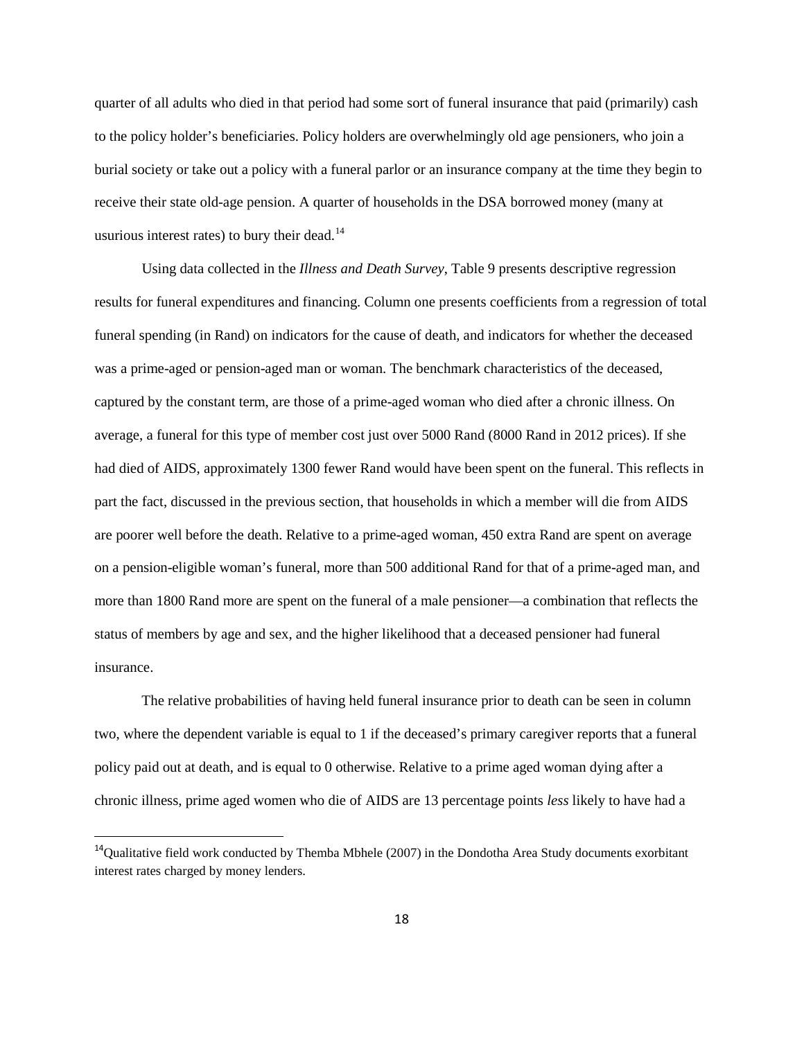quarter of all adults who died in that period had some sort of funeral insurance that paid (primarily) cash to the policy holder's beneficiaries. Policy holders are overwhelmingly old age pensioners, who join a burial society or take out a policy with a funeral parlor or an insurance company at the time they begin to receive their state old-age pension. A quarter of households in the DSA borrowed money (many at usurious interest rates) to bury their dead. $14$ 

 Using data collected in the *Illness and Death Survey*, Table 9 presents descriptive regression results for funeral expenditures and financing. Column one presents coefficients from a regression of total funeral spending (in Rand) on indicators for the cause of death, and indicators for whether the deceased was a prime-aged or pension-aged man or woman. The benchmark characteristics of the deceased, captured by the constant term, are those of a prime-aged woman who died after a chronic illness. On average, a funeral for this type of member cost just over 5000 Rand (8000 Rand in 2012 prices). If she had died of AIDS, approximately 1300 fewer Rand would have been spent on the funeral. This reflects in part the fact, discussed in the previous section, that households in which a member will die from AIDS are poorer well before the death. Relative to a prime-aged woman, 450 extra Rand are spent on average on a pension-eligible woman's funeral, more than 500 additional Rand for that of a prime-aged man, and more than 1800 Rand more are spent on the funeral of a male pensioner—a combination that reflects the status of members by age and sex, and the higher likelihood that a deceased pensioner had funeral insurance.

The relative probabilities of having held funeral insurance prior to death can be seen in column two, where the dependent variable is equal to 1 if the deceased's primary caregiver reports that a funeral policy paid out at death, and is equal to 0 otherwise. Relative to a prime aged woman dying after a chronic illness, prime aged women who die of AIDS are 13 percentage points *less* likely to have had a

<span id="page-18-0"></span> $14$ Qualitative field work conducted by Themba Mbhele (2007) in the Dondotha Area Study documents exorbitant interest rates charged by money lenders.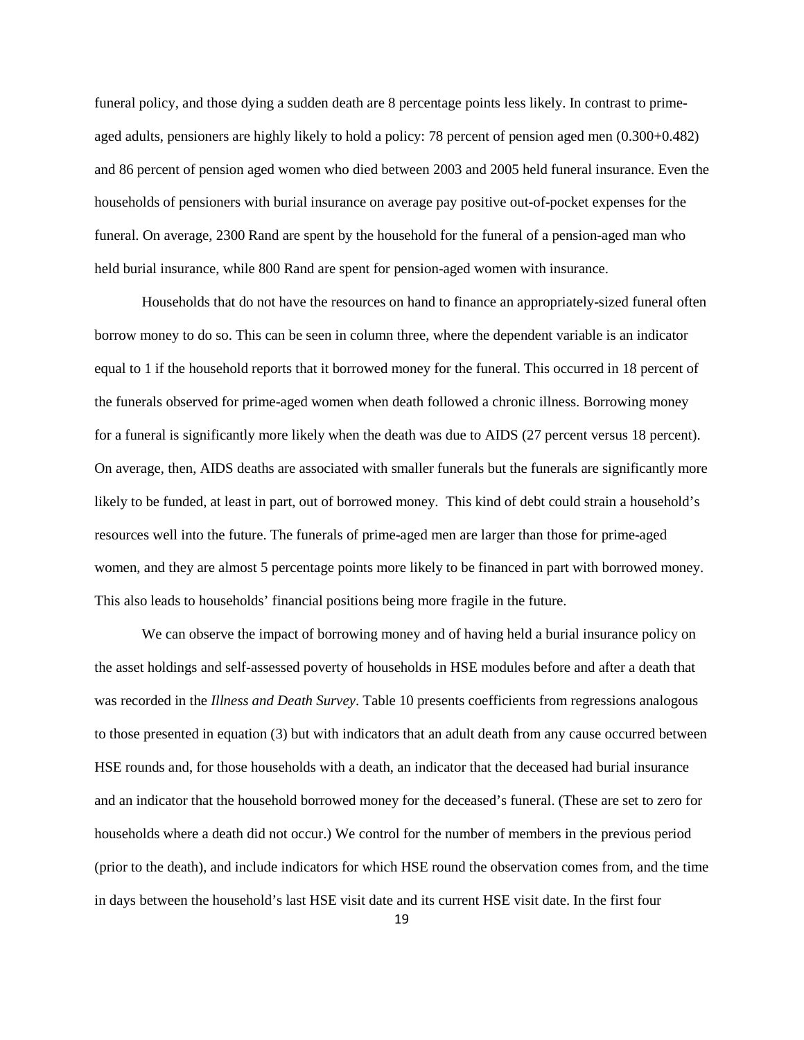funeral policy, and those dying a sudden death are 8 percentage points less likely. In contrast to primeaged adults, pensioners are highly likely to hold a policy: 78 percent of pension aged men (0.300+0.482) and 86 percent of pension aged women who died between 2003 and 2005 held funeral insurance. Even the households of pensioners with burial insurance on average pay positive out-of-pocket expenses for the funeral. On average, 2300 Rand are spent by the household for the funeral of a pension-aged man who held burial insurance, while 800 Rand are spent for pension-aged women with insurance.

Households that do not have the resources on hand to finance an appropriately-sized funeral often borrow money to do so. This can be seen in column three, where the dependent variable is an indicator equal to 1 if the household reports that it borrowed money for the funeral. This occurred in 18 percent of the funerals observed for prime-aged women when death followed a chronic illness. Borrowing money for a funeral is significantly more likely when the death was due to AIDS (27 percent versus 18 percent). On average, then, AIDS deaths are associated with smaller funerals but the funerals are significantly more likely to be funded, at least in part, out of borrowed money. This kind of debt could strain a household's resources well into the future. The funerals of prime-aged men are larger than those for prime-aged women, and they are almost 5 percentage points more likely to be financed in part with borrowed money. This also leads to households' financial positions being more fragile in the future.

We can observe the impact of borrowing money and of having held a burial insurance policy on the asset holdings and self-assessed poverty of households in HSE modules before and after a death that was recorded in the *Illness and Death Survey*. Table 10 presents coefficients from regressions analogous to those presented in equation (3) but with indicators that an adult death from any cause occurred between HSE rounds and, for those households with a death, an indicator that the deceased had burial insurance and an indicator that the household borrowed money for the deceased's funeral. (These are set to zero for households where a death did not occur.) We control for the number of members in the previous period (prior to the death), and include indicators for which HSE round the observation comes from, and the time in days between the household's last HSE visit date and its current HSE visit date. In the first four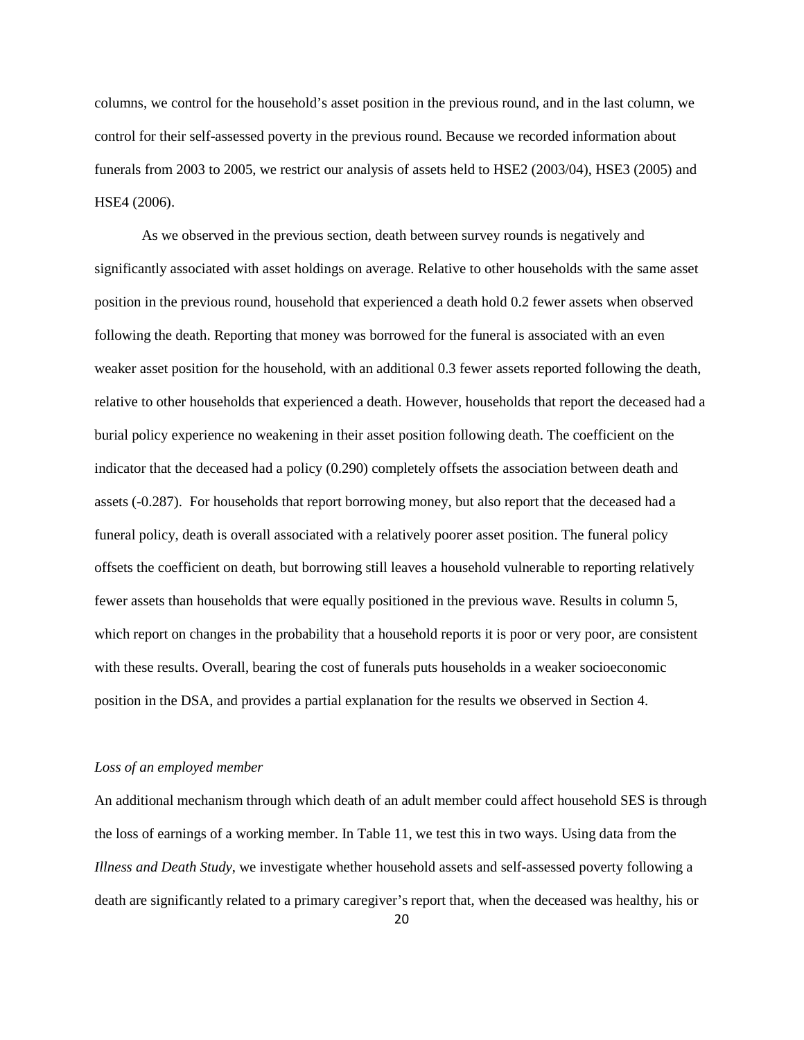columns, we control for the household's asset position in the previous round, and in the last column, we control for their self-assessed poverty in the previous round. Because we recorded information about funerals from 2003 to 2005, we restrict our analysis of assets held to HSE2 (2003/04), HSE3 (2005) and HSE4 (2006).

As we observed in the previous section, death between survey rounds is negatively and significantly associated with asset holdings on average. Relative to other households with the same asset position in the previous round, household that experienced a death hold 0.2 fewer assets when observed following the death. Reporting that money was borrowed for the funeral is associated with an even weaker asset position for the household, with an additional 0.3 fewer assets reported following the death, relative to other households that experienced a death. However, households that report the deceased had a burial policy experience no weakening in their asset position following death. The coefficient on the indicator that the deceased had a policy (0.290) completely offsets the association between death and assets (-0.287). For households that report borrowing money, but also report that the deceased had a funeral policy, death is overall associated with a relatively poorer asset position. The funeral policy offsets the coefficient on death, but borrowing still leaves a household vulnerable to reporting relatively fewer assets than households that were equally positioned in the previous wave. Results in column 5, which report on changes in the probability that a household reports it is poor or very poor, are consistent with these results. Overall, bearing the cost of funerals puts households in a weaker socioeconomic position in the DSA, and provides a partial explanation for the results we observed in Section 4.

#### *Loss of an employed member*

An additional mechanism through which death of an adult member could affect household SES is through the loss of earnings of a working member. In Table 11, we test this in two ways. Using data from the *Illness and Death Study*, we investigate whether household assets and self-assessed poverty following a death are significantly related to a primary caregiver's report that, when the deceased was healthy, his or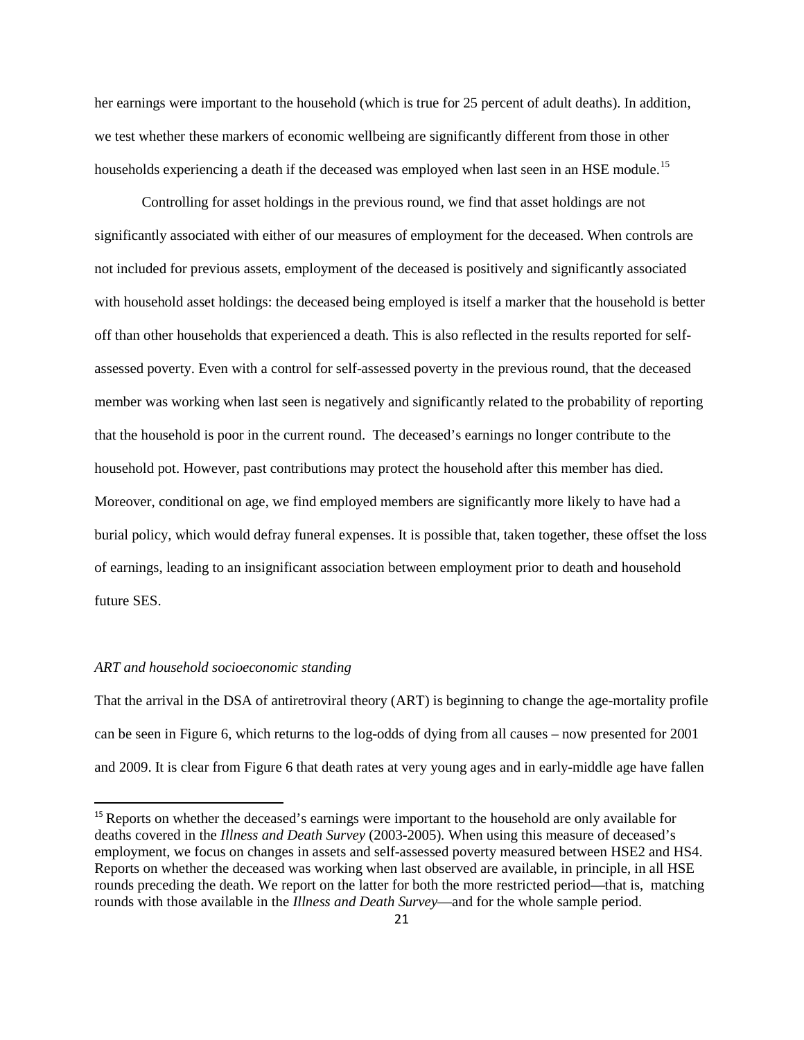her earnings were important to the household (which is true for 25 percent of adult deaths). In addition, we test whether these markers of economic wellbeing are significantly different from those in other households experiencing a death if the deceased was employed when last seen in an HSE module.<sup>[15](#page-21-0)</sup>

Controlling for asset holdings in the previous round, we find that asset holdings are not significantly associated with either of our measures of employment for the deceased. When controls are not included for previous assets, employment of the deceased is positively and significantly associated with household asset holdings: the deceased being employed is itself a marker that the household is better off than other households that experienced a death. This is also reflected in the results reported for selfassessed poverty. Even with a control for self-assessed poverty in the previous round, that the deceased member was working when last seen is negatively and significantly related to the probability of reporting that the household is poor in the current round. The deceased's earnings no longer contribute to the household pot. However, past contributions may protect the household after this member has died. Moreover, conditional on age, we find employed members are significantly more likely to have had a burial policy, which would defray funeral expenses. It is possible that, taken together, these offset the loss of earnings, leading to an insignificant association between employment prior to death and household future SES.

#### *ART and household socioeconomic standing*

That the arrival in the DSA of antiretroviral theory (ART) is beginning to change the age-mortality profile can be seen in Figure 6, which returns to the log-odds of dying from all causes – now presented for 2001 and 2009. It is clear from Figure 6 that death rates at very young ages and in early-middle age have fallen

<span id="page-21-0"></span><sup>&</sup>lt;sup>15</sup> Reports on whether the deceased's earnings were important to the household are only available for deaths covered in the *Illness and Death Survey* (2003-2005)*.* When using this measure of deceased's employment, we focus on changes in assets and self-assessed poverty measured between HSE2 and HS4. Reports on whether the deceased was working when last observed are available, in principle, in all HSE rounds preceding the death. We report on the latter for both the more restricted period—that is, matching rounds with those available in the *Illness and Death Survey*—and for the whole sample period.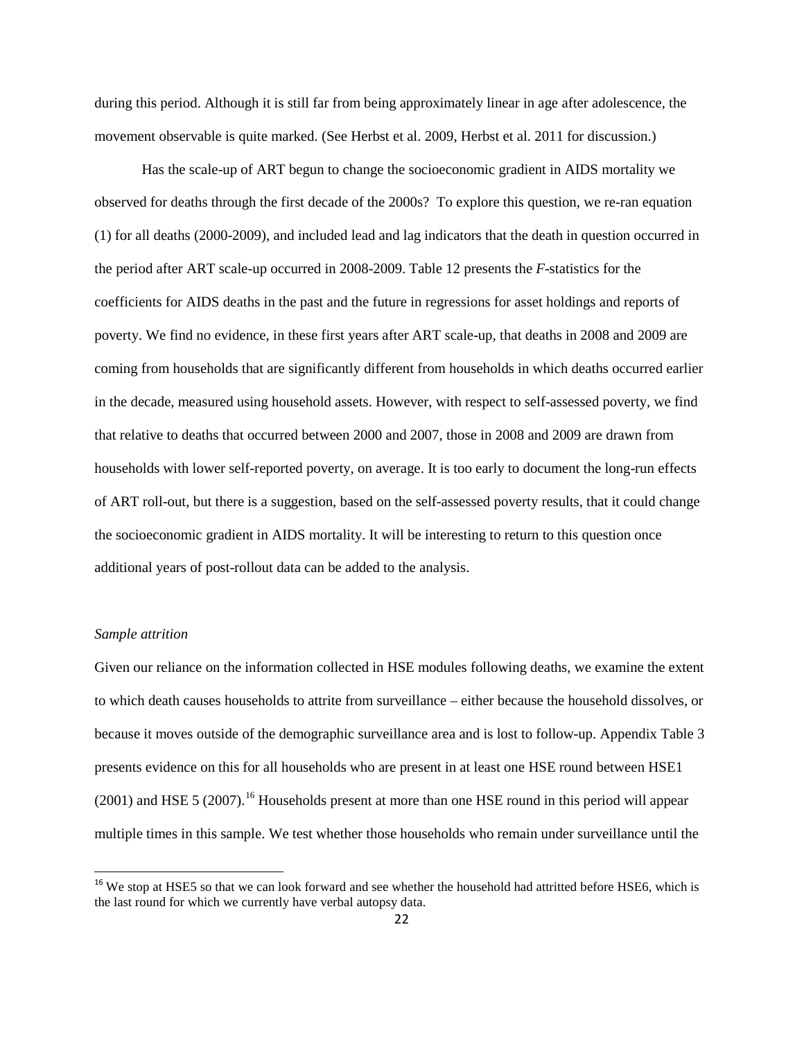during this period. Although it is still far from being approximately linear in age after adolescence, the movement observable is quite marked. (See Herbst et al. 2009, Herbst et al. 2011 for discussion.)

Has the scale-up of ART begun to change the socioeconomic gradient in AIDS mortality we observed for deaths through the first decade of the 2000s? To explore this question, we re-ran equation (1) for all deaths (2000-2009), and included lead and lag indicators that the death in question occurred in the period after ART scale-up occurred in 2008-2009. Table 12 presents the *F*-statistics for the coefficients for AIDS deaths in the past and the future in regressions for asset holdings and reports of poverty. We find no evidence, in these first years after ART scale-up, that deaths in 2008 and 2009 are coming from households that are significantly different from households in which deaths occurred earlier in the decade, measured using household assets. However, with respect to self-assessed poverty, we find that relative to deaths that occurred between 2000 and 2007, those in 2008 and 2009 are drawn from households with lower self-reported poverty, on average. It is too early to document the long-run effects of ART roll-out, but there is a suggestion, based on the self-assessed poverty results, that it could change the socioeconomic gradient in AIDS mortality. It will be interesting to return to this question once additional years of post-rollout data can be added to the analysis.

### *Sample attrition*

Given our reliance on the information collected in HSE modules following deaths, we examine the extent to which death causes households to attrite from surveillance – either because the household dissolves, or because it moves outside of the demographic surveillance area and is lost to follow-up. Appendix Table 3 presents evidence on this for all households who are present in at least one HSE round between HSE1 (2001) and HSE 5 (2007). [16](#page-22-0) Households present at more than one HSE round in this period will appear multiple times in this sample. We test whether those households who remain under surveillance until the

<span id="page-22-0"></span><sup>&</sup>lt;sup>16</sup> We stop at HSE5 so that we can look forward and see whether the household had attritted before HSE6, which is the last round for which we currently have verbal autopsy data.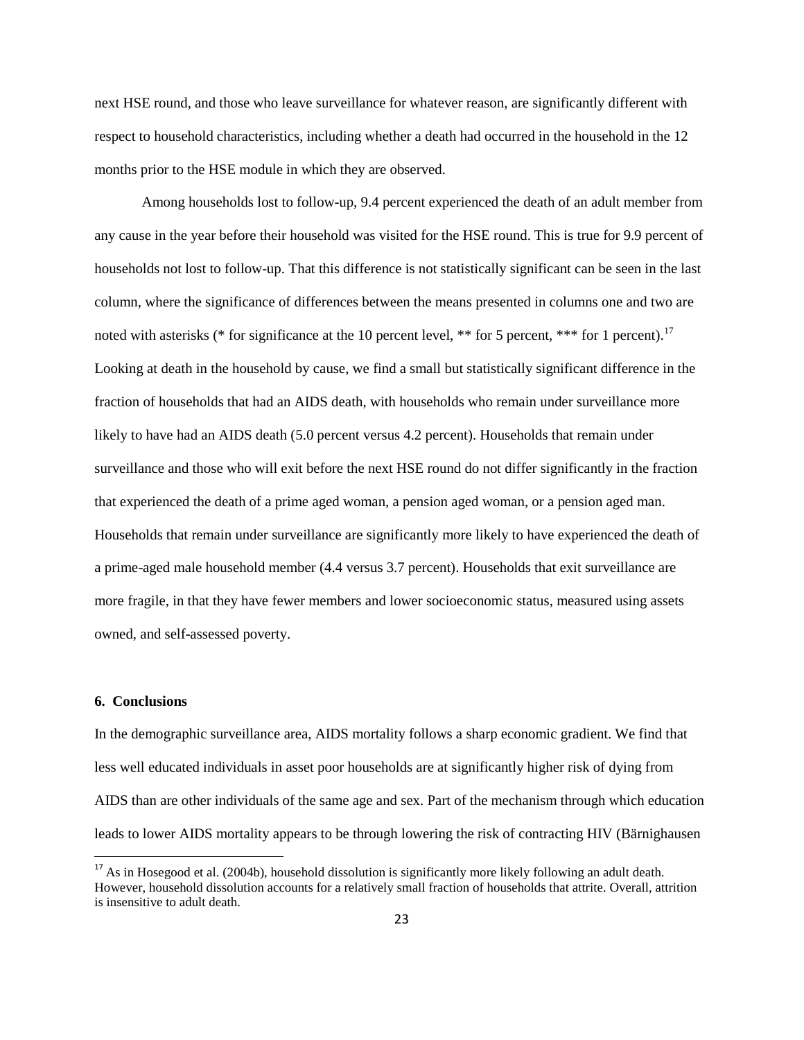next HSE round, and those who leave surveillance for whatever reason, are significantly different with respect to household characteristics, including whether a death had occurred in the household in the 12 months prior to the HSE module in which they are observed.

Among households lost to follow-up, 9.4 percent experienced the death of an adult member from any cause in the year before their household was visited for the HSE round. This is true for 9.9 percent of households not lost to follow-up. That this difference is not statistically significant can be seen in the last column, where the significance of differences between the means presented in columns one and two are noted with asterisks (\* for significance at the 10 percent level, \*\* for 5 percent, \*\*\* for 1 percent).<sup>[17](#page-23-0)</sup> Looking at death in the household by cause, we find a small but statistically significant difference in the fraction of households that had an AIDS death, with households who remain under surveillance more likely to have had an AIDS death (5.0 percent versus 4.2 percent). Households that remain under surveillance and those who will exit before the next HSE round do not differ significantly in the fraction that experienced the death of a prime aged woman, a pension aged woman, or a pension aged man. Households that remain under surveillance are significantly more likely to have experienced the death of a prime-aged male household member (4.4 versus 3.7 percent). Households that exit surveillance are more fragile, in that they have fewer members and lower socioeconomic status, measured using assets owned, and self-assessed poverty.

### **6. Conclusions**

In the demographic surveillance area, AIDS mortality follows a sharp economic gradient. We find that less well educated individuals in asset poor households are at significantly higher risk of dying from AIDS than are other individuals of the same age and sex. Part of the mechanism through which education leads to lower AIDS mortality appears to be through lowering the risk of contracting HIV (Bärnighausen

<span id="page-23-0"></span><sup>&</sup>lt;sup>17</sup> As in Hosegood et al. (2004b), household dissolution is significantly more likely following an adult death. However, household dissolution accounts for a relatively small fraction of households that attrite. Overall, attrition is insensitive to adult death.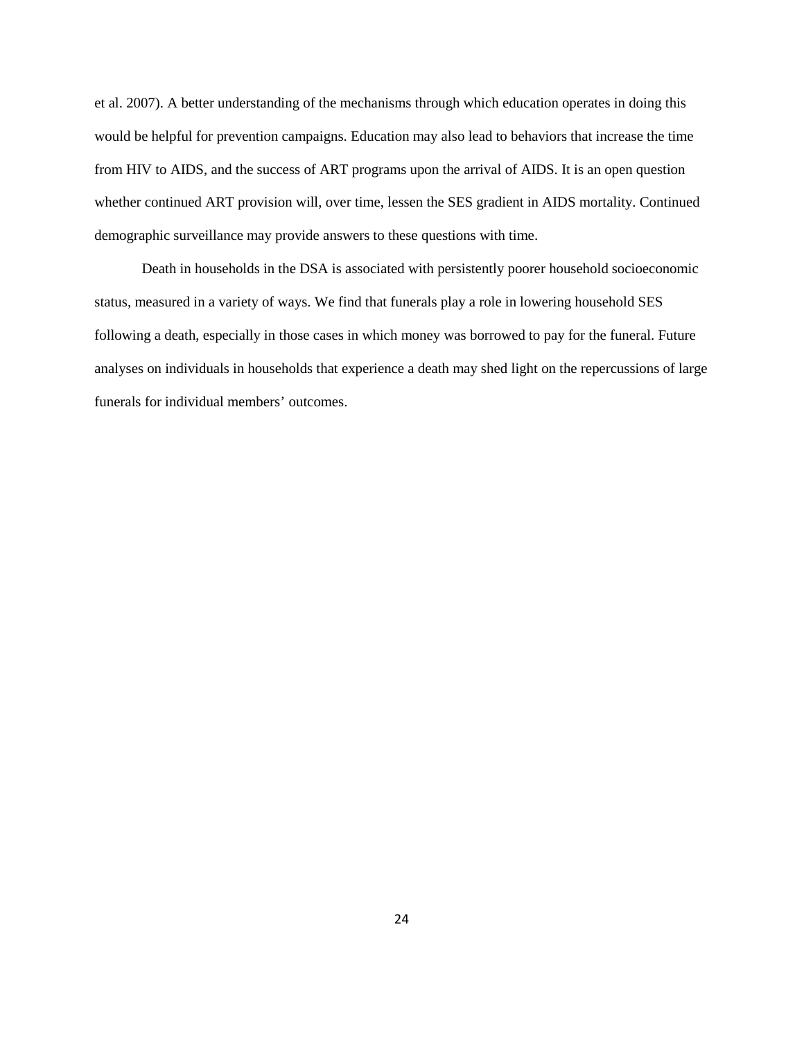et al. 2007). A better understanding of the mechanisms through which education operates in doing this would be helpful for prevention campaigns. Education may also lead to behaviors that increase the time from HIV to AIDS, and the success of ART programs upon the arrival of AIDS. It is an open question whether continued ART provision will, over time, lessen the SES gradient in AIDS mortality. Continued demographic surveillance may provide answers to these questions with time.

Death in households in the DSA is associated with persistently poorer household socioeconomic status, measured in a variety of ways. We find that funerals play a role in lowering household SES following a death, especially in those cases in which money was borrowed to pay for the funeral. Future analyses on individuals in households that experience a death may shed light on the repercussions of large funerals for individual members' outcomes.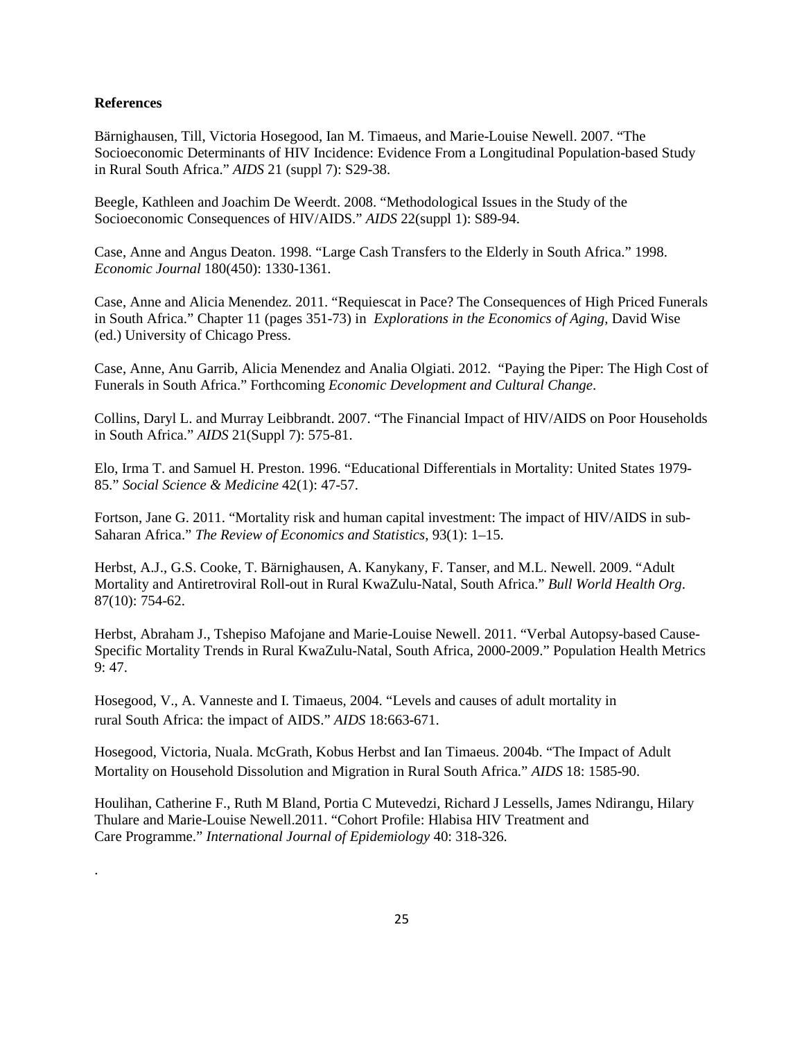#### **References**

.

Bärnighausen, Till, Victoria Hosegood, Ian M. Timaeus, and Marie-Louise Newell. 2007. "The Socioeconomic Determinants of HIV Incidence: Evidence From a Longitudinal Population-based Study in Rural South Africa." *AIDS* 21 (suppl 7): S29-38.

Beegle, Kathleen and Joachim De Weerdt. 2008. "Methodological Issues in the Study of the Socioeconomic Consequences of HIV/AIDS." *AIDS* 22(suppl 1): S89-94.

Case, Anne and Angus Deaton. 1998. "Large Cash Transfers to the Elderly in South Africa." 1998. *Economic Journal* 180(450): 1330-1361.

Case, Anne and Alicia Menendez. 2011. "Requiescat in Pace? The Consequences of High Priced Funerals in South Africa." Chapter 11 (pages 351-73) in *Explorations in the Economics of Aging,* David Wise (ed.) University of Chicago Press.

Case, Anne, Anu Garrib, Alicia Menendez and Analia Olgiati. 2012. "Paying the Piper: The High Cost of Funerals in South Africa." Forthcoming *Economic Development and Cultural Change*.

Collins, Daryl L. and Murray Leibbrandt. 2007. "The Financial Impact of HIV/AIDS on Poor Households in South Africa." *AIDS* 21(Suppl 7): 575-81.

Elo, Irma T. and Samuel H. Preston. 1996. "Educational Differentials in Mortality: United States 1979- 85." *Social Science & Medicine* 42(1): 47-57.

Fortson, Jane G. 2011. "Mortality risk and human capital investment: The impact of HIV/AIDS in sub-Saharan Africa." *The Review of Economics and Statistics*, 93(1): 1–15.

Herbst, A.J., G.S. Cooke, T. Bärnighausen, A. Kanykany, F. Tanser, and M.L. Newell. 2009. "Adult Mortality and Antiretroviral Roll-out in Rural KwaZulu-Natal, South Africa." *Bull World Health Org*. 87(10): 754-62.

Herbst, Abraham J., Tshepiso Mafojane and Marie-Louise Newell. 2011. "Verbal Autopsy-based Cause-Specific Mortality Trends in Rural KwaZulu-Natal, South Africa, 2000-2009." Population Health Metrics 9: 47.

Hosegood, V., A. Vanneste and I. Timaeus, 2004. "Levels and causes of adult mortality in rural South Africa: the impact of AIDS." *AIDS* 18:663-671.

Hosegood, Victoria, Nuala. McGrath, Kobus Herbst and Ian Timaeus. 2004b. "The Impact of Adult Mortality on Household Dissolution and Migration in Rural South Africa." *AIDS* 18: 1585-90.

Houlihan, Catherine F., Ruth M Bland, Portia C Mutevedzi, Richard J Lessells, James Ndirangu, Hilary Thulare and Marie-Louise Newell.2011. "Cohort Profile: Hlabisa HIV Treatment and Care Programme." *International Journal of Epidemiology* 40: 318-326.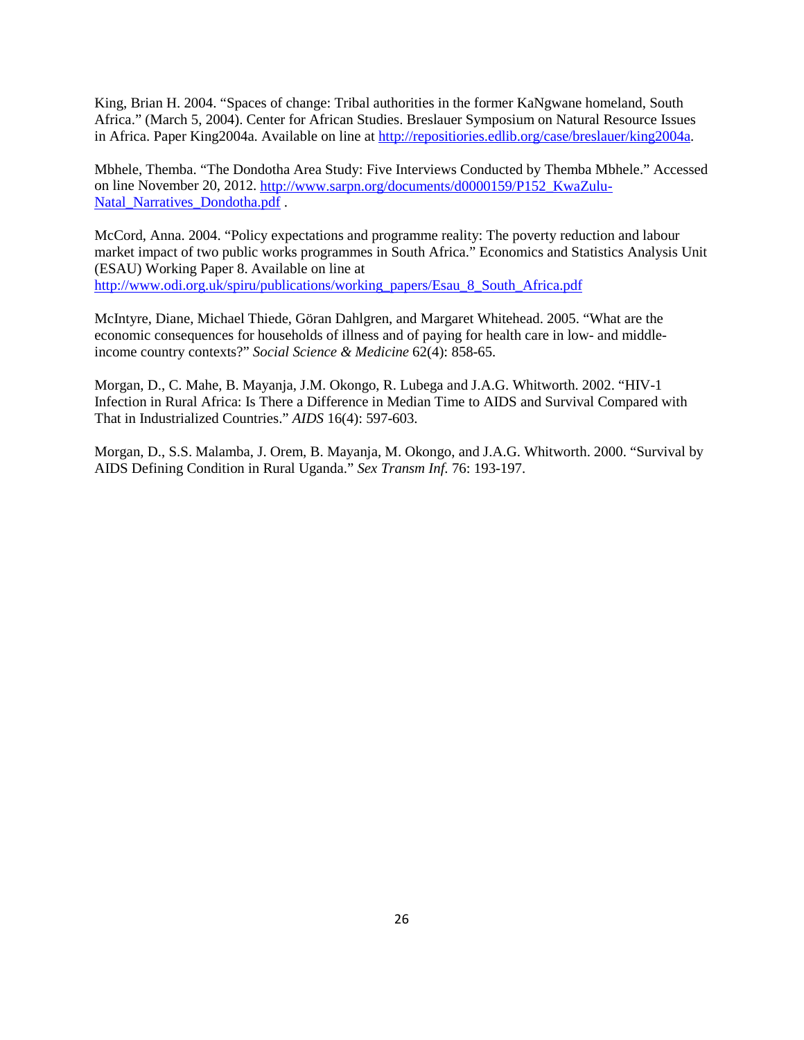King, Brian H. 2004. "Spaces of change: Tribal authorities in the former KaNgwane homeland, South Africa." (March 5, 2004). Center for African Studies. Breslauer Symposium on Natural Resource Issues in Africa. Paper King2004a. Available on line at [http://repositiories.edlib.org/case/breslauer/king2004a.](http://repositiories.edlib.org/case/breslauer/king2004a)

Mbhele, Themba. "The Dondotha Area Study: Five Interviews Conducted by Themba Mbhele." Accessed on line November 20, 2012. [http://www.sarpn.org/documents/d0000159/P152\\_KwaZulu-](http://www.sarpn.org/documents/d0000159/P152_KwaZulu-Natal_Narratives_Dondotha.pdf)[Natal\\_Narratives\\_Dondotha.pdf](http://www.sarpn.org/documents/d0000159/P152_KwaZulu-Natal_Narratives_Dondotha.pdf) .

McCord, Anna. 2004. "Policy expectations and programme reality: The poverty reduction and labour market impact of two public works programmes in South Africa." Economics and Statistics Analysis Unit (ESAU) Working Paper 8. Available on line at [http://www.odi.org.uk/spiru/publications/working\\_papers/Esau\\_8\\_South\\_Africa.pdf](http://www.odi.org.uk/spiru/publications/working_papers/Esau_8_South_Africa.pdf)

McIntyre, Diane, Michael Thiede, Göran Dahlgren, and Margaret Whitehead. 2005. "What are the economic consequences for households of illness and of paying for health care in low- and middleincome country contexts?" *Social Science & Medicine* 62(4): 858-65.

Morgan, D., C. Mahe, B. Mayanja, J.M. Okongo, R. Lubega and J.A.G. Whitworth. 2002. "HIV-1 Infection in Rural Africa: Is There a Difference in Median Time to AIDS and Survival Compared with That in Industrialized Countries." *AIDS* 16(4): 597-603.

Morgan, D., S.S. Malamba, J. Orem, B. Mayanja, M. Okongo, and J.A.G. Whitworth. 2000. "Survival by AIDS Defining Condition in Rural Uganda." *Sex Transm Inf.* 76: 193-197.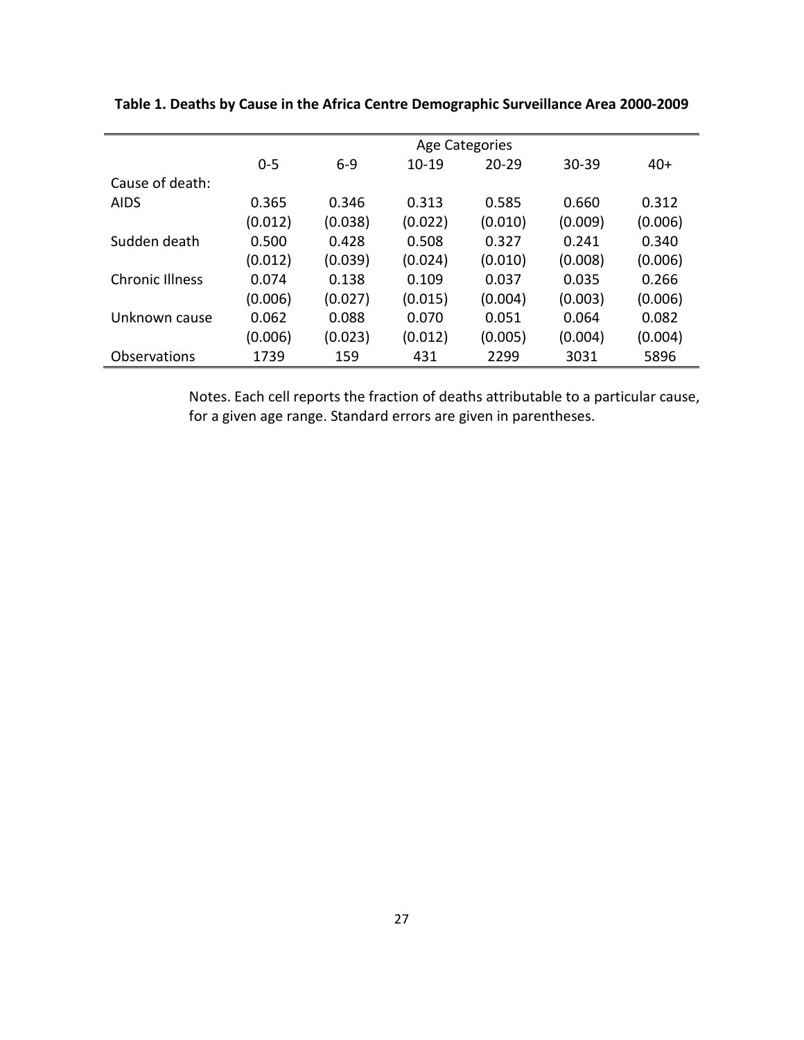|                        | <b>Age Categories</b> |         |         |           |           |         |  |  |
|------------------------|-----------------------|---------|---------|-----------|-----------|---------|--|--|
|                        | $0 - 5$               | $6 - 9$ | $10-19$ | $20 - 29$ | $30 - 39$ | $40+$   |  |  |
| Cause of death:        |                       |         |         |           |           |         |  |  |
| <b>AIDS</b>            | 0.365                 | 0.346   | 0.313   | 0.585     | 0.660     | 0.312   |  |  |
|                        | (0.012)               | (0.038) | (0.022) | (0.010)   | (0.009)   | (0.006) |  |  |
| Sudden death           | 0.500                 | 0.428   | 0.508   | 0.327     | 0.241     | 0.340   |  |  |
|                        | (0.012)               | (0.039) | (0.024) | (0.010)   | (0.008)   | (0.006) |  |  |
| <b>Chronic Illness</b> | 0.074                 | 0.138   | 0.109   | 0.037     | 0.035     | 0.266   |  |  |
|                        | (0.006)               | (0.027) | (0.015) | (0.004)   | (0.003)   | (0.006) |  |  |
| Unknown cause          | 0.062                 | 0.088   | 0.070   | 0.051     | 0.064     | 0.082   |  |  |
|                        | (0.006)               | (0.023) | (0.012) | (0.005)   | (0.004)   | (0.004) |  |  |
| Observations           | 1739                  | 159     | 431     | 2299      | 3031      | 5896    |  |  |

**Table 1. Deaths by Cause in the Africa Centre Demographic Surveillance Area 2000-2009**

Notes. Each cell reports the fraction of deaths attributable to a particular cause, for a given age range. Standard errors are given in parentheses.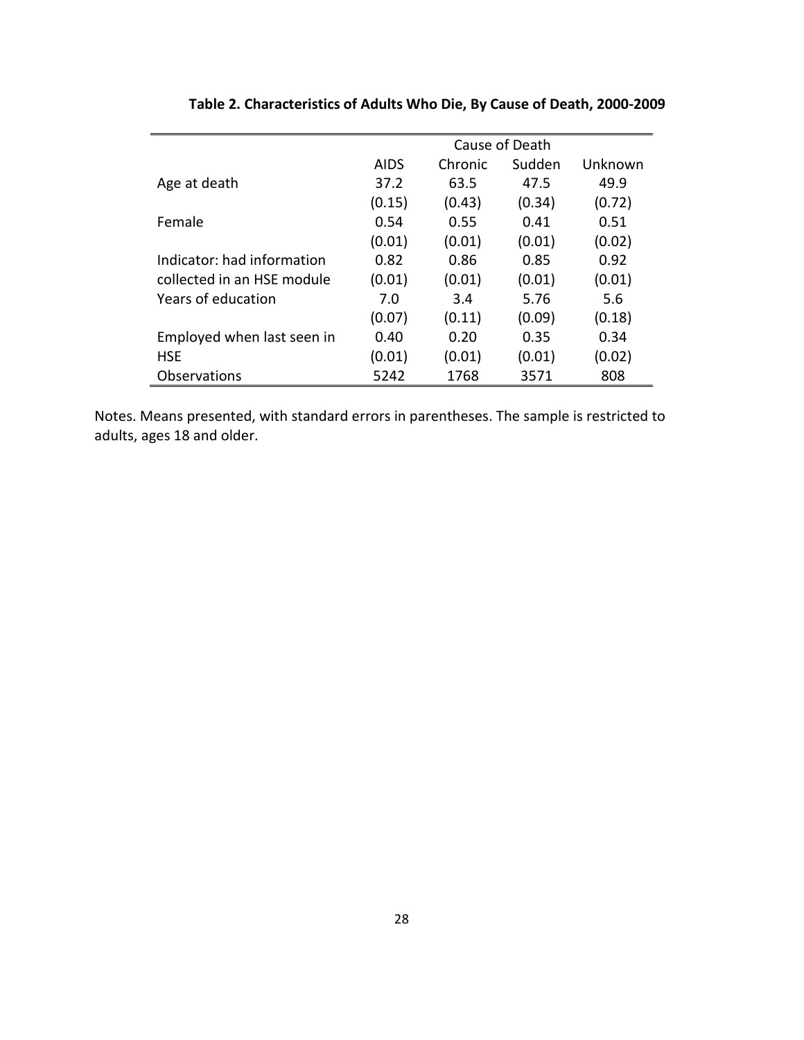|                            | Cause of Death |         |        |         |  |  |
|----------------------------|----------------|---------|--------|---------|--|--|
|                            | <b>AIDS</b>    | Chronic | Sudden | Unknown |  |  |
| Age at death               | 37.2           | 63.5    | 47.5   | 49.9    |  |  |
|                            | (0.15)         | (0.43)  | (0.34) | (0.72)  |  |  |
| Female                     | 0.54           | 0.55    | 0.41   | 0.51    |  |  |
|                            | (0.01)         | (0.01)  | (0.01) | (0.02)  |  |  |
| Indicator: had information | 0.82           | 0.86    | 0.85   | 0.92    |  |  |
| collected in an HSF module | (0.01)         | (0.01)  | (0.01) | (0.01)  |  |  |
| Years of education         | 7.0            | 3.4     | 5.76   | 5.6     |  |  |
|                            | (0.07)         | (0.11)  | (0.09) | (0.18)  |  |  |
| Employed when last seen in | 0.40           | 0.20    | 0.35   | 0.34    |  |  |
| <b>HSE</b>                 | (0.01)         | (0.01)  | (0.01) | (0.02)  |  |  |
| <b>Observations</b>        | 5242           | 1768    | 3571   | 808     |  |  |

**Table 2. Characteristics of Adults Who Die, By Cause of Death, 2000-2009**

Notes. Means presented, with standard errors in parentheses. The sample is restricted to adults, ages 18 and older.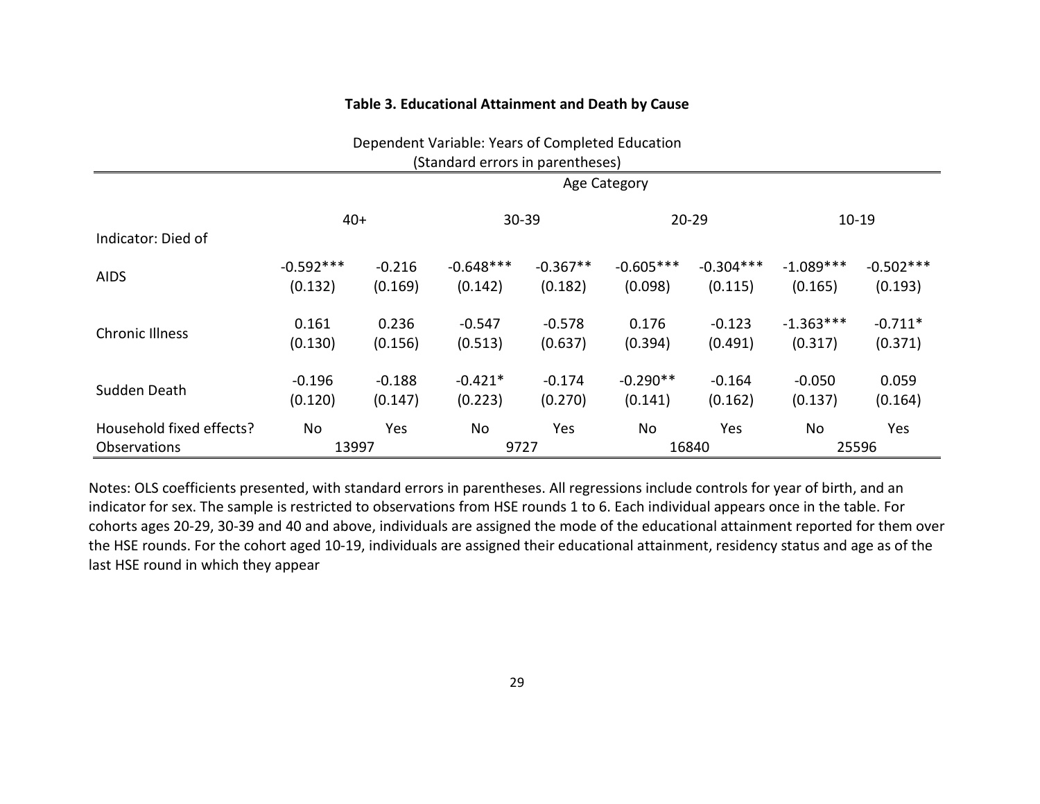### **Table 3. Educational Attainment and Death by Cause**

|                                  |                        |                     | Dependent Variable: Years of Completed Education |                       |                        |                        |                        |                        |
|----------------------------------|------------------------|---------------------|--------------------------------------------------|-----------------------|------------------------|------------------------|------------------------|------------------------|
| (Standard errors in parentheses) |                        |                     |                                                  |                       |                        |                        |                        |                        |
|                                  | Age Category           |                     |                                                  |                       |                        |                        |                        |                        |
|                                  | $40+$                  |                     | 30-39                                            |                       |                        | $20 - 29$              |                        | $10 - 19$              |
| Indicator: Died of               |                        |                     |                                                  |                       |                        |                        |                        |                        |
| <b>AIDS</b>                      | $-0.592***$<br>(0.132) | $-0.216$<br>(0.169) | $-0.648***$<br>(0.142)                           | $-0.367**$<br>(0.182) | $-0.605***$<br>(0.098) | $-0.304***$<br>(0.115) | $-1.089***$<br>(0.165) | $-0.502***$<br>(0.193) |
|                                  |                        |                     |                                                  |                       |                        |                        |                        |                        |
| <b>Chronic Illness</b>           | 0.161                  | 0.236               | $-0.547$                                         | $-0.578$              | 0.176                  | $-0.123$               | $-1.363***$            | $-0.711*$              |
|                                  | (0.130)                | (0.156)             | (0.513)                                          | (0.637)               | (0.394)                | (0.491)                | (0.317)                | (0.371)                |
| Sudden Death                     | $-0.196$               | $-0.188$            | $-0.421*$                                        | $-0.174$              | $-0.290**$             | $-0.164$               | $-0.050$               | 0.059                  |
|                                  | (0.120)                | (0.147)             | (0.223)                                          | (0.270)               | (0.141)                | (0.162)                | (0.137)                | (0.164)                |
| Household fixed effects?         | No                     | Yes                 | No                                               | Yes                   | No                     | Yes                    | No                     | Yes                    |
| <b>Observations</b>              | 13997                  |                     | 9727                                             |                       |                        | 16840                  |                        | 25596                  |

Notes: OLS coefficients presented, with standard errors in parentheses. All regressions include controls for year of birth, and an indicator for sex. The sample is restricted to observations from HSE rounds 1 to 6. Each individual appears once in the table. For cohorts ages 20-29, 30-39 and 40 and above, individuals are assigned the mode of the educational attainment reported for them over the HSE rounds. For the cohort aged 10-19, individuals are assigned their educational attainment, residency status and age as of the last HSE round in which they appear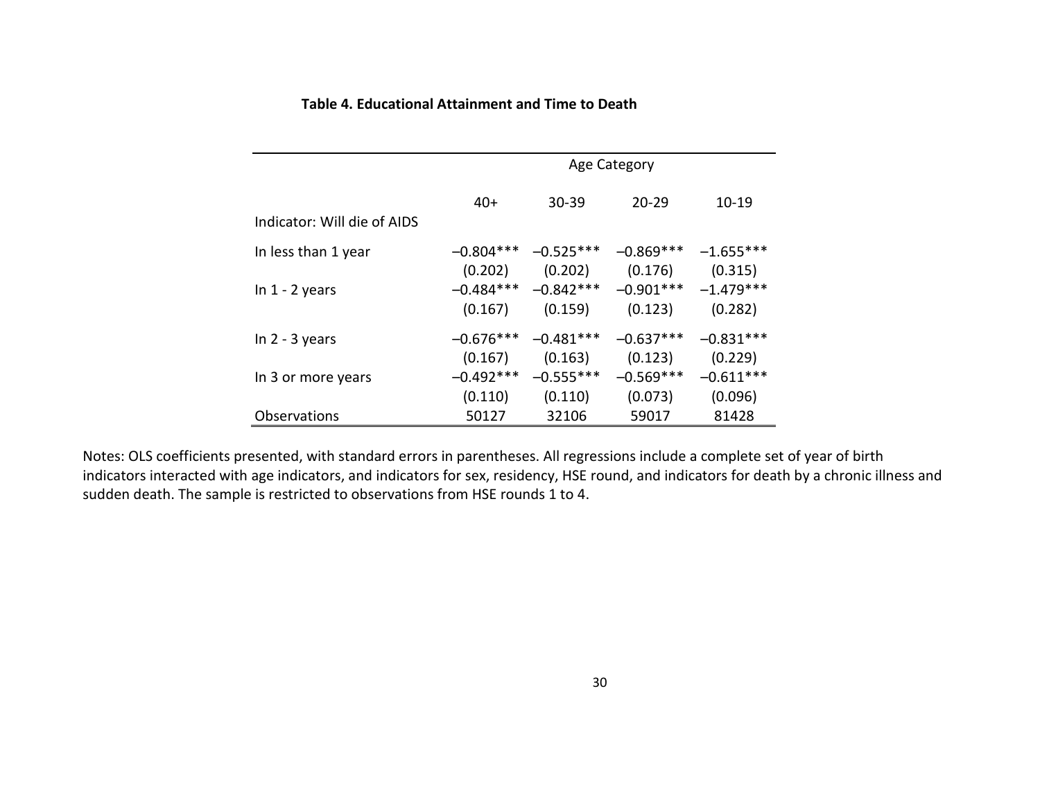|                             | Age Category           |                                    |                        |                        |  |  |  |
|-----------------------------|------------------------|------------------------------------|------------------------|------------------------|--|--|--|
| Indicator: Will die of AIDS | $40+$                  | $30 - 39$                          | $20 - 29$              | $10 - 19$              |  |  |  |
| In less than 1 year         | $-0.804***$<br>(0.202) | $-0.525***$<br>(0.202)             | $-0.869***$<br>(0.176) | $-1.655***$<br>(0.315) |  |  |  |
| In $1 - 2$ years            | (0.167)                | $-0.484***$ $-0.842***$<br>(0.159) | $-0.901***$<br>(0.123) | $-1.479***$<br>(0.282) |  |  |  |
| In $2 - 3$ years            | $-0.676***$<br>(0.167) | $-0.481***$<br>(0.163)             | $-0.637***$<br>(0.123) | $-0.831***$<br>(0.229) |  |  |  |
| In 3 or more years          | $-0.492***$<br>(0.110) | $-0.555***$<br>(0.110)             | $-0.569***$<br>(0.073) | $-0.611***$<br>(0.096) |  |  |  |
| <b>Observations</b>         | 50127                  | 32106                              | 59017                  | 81428                  |  |  |  |

## **Table 4. Educational Attainment and Time to Death**

Notes: OLS coefficients presented, with standard errors in parentheses. All regressions include a complete set of year of birth indicators interacted with age indicators, and indicators for sex, residency, HSE round, and indicators for death by a chronic illness and sudden death. The sample is restricted to observations from HSE rounds 1 to 4.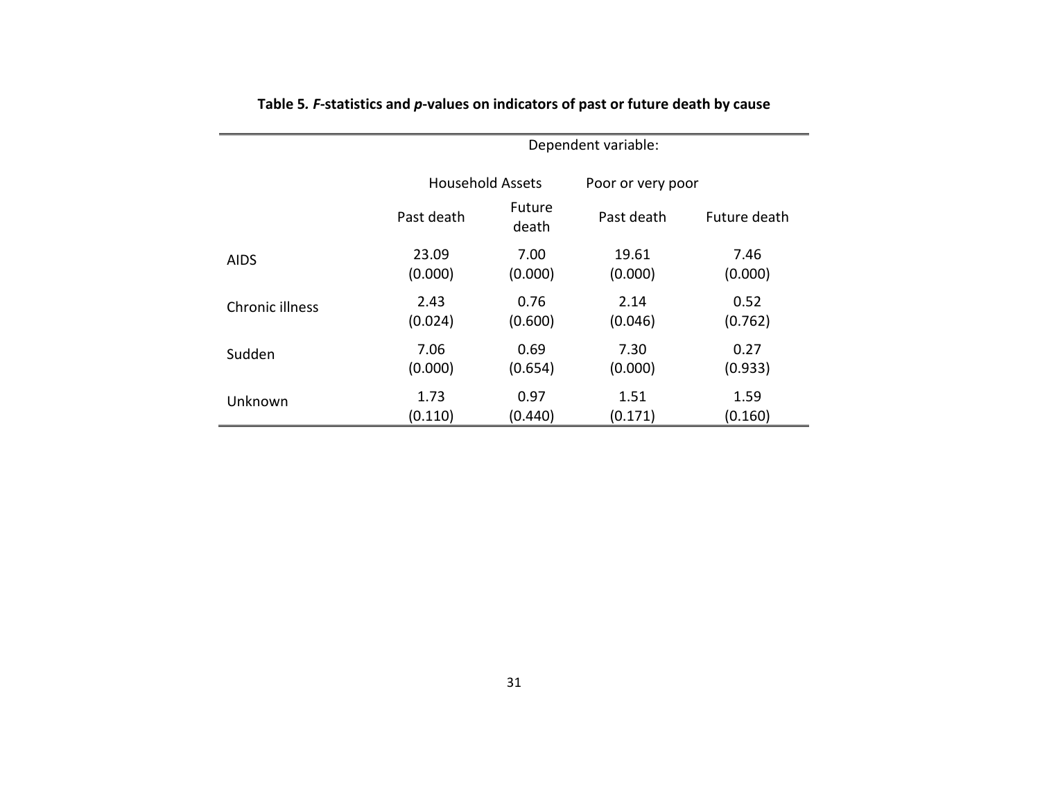|                 | Dependent variable: |                         |            |                   |  |  |  |
|-----------------|---------------------|-------------------------|------------|-------------------|--|--|--|
|                 |                     | <b>Household Assets</b> |            | Poor or very poor |  |  |  |
|                 | Past death          | Future<br>death         | Past death | Future death      |  |  |  |
| AIDS            | 23.09               | 7.00                    | 19.61      | 7.46              |  |  |  |
|                 | (0.000)             | (0.000)                 | (0.000)    | (0.000)           |  |  |  |
| Chronic illness | 2.43                | 0.76                    | 2.14       | 0.52              |  |  |  |
|                 | (0.024)             | (0.600)                 | (0.046)    | (0.762)           |  |  |  |
| Sudden          | 7.06                | 0.69                    | 7.30       | 0.27              |  |  |  |
|                 | (0.000)             | (0.654)                 | (0.000)    | (0.933)           |  |  |  |
| Unknown         | 1.73                | 0.97                    | 1.51       | 1.59              |  |  |  |
|                 | (0.110)             | (0.440)                 | (0.171)    | (0.160)           |  |  |  |

**Table 5***. F***-statistics and** *p***-values on indicators of past or future death by cause**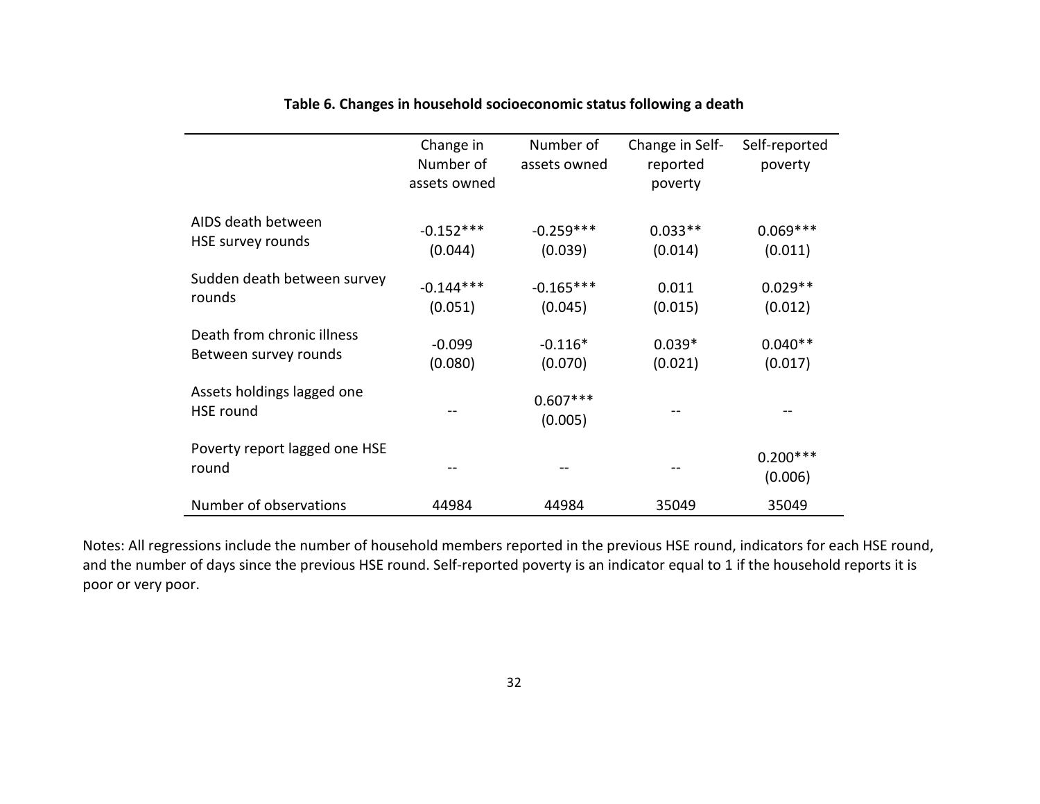|                                                     | Change in<br>Number of<br>assets owned | Number of<br>assets owned | Change in Self-<br>reported<br>poverty | Self-reported<br>poverty |
|-----------------------------------------------------|----------------------------------------|---------------------------|----------------------------------------|--------------------------|
| AIDS death between<br>HSE survey rounds             | $-0.152***$<br>(0.044)                 | $-0.259***$<br>(0.039)    | $0.033**$<br>(0.014)                   | $0.069***$<br>(0.011)    |
| Sudden death between survey<br>rounds               | $-0.144***$<br>(0.051)                 | $-0.165***$<br>(0.045)    | 0.011<br>(0.015)                       | $0.029**$<br>(0.012)     |
| Death from chronic illness<br>Between survey rounds | $-0.099$<br>(0.080)                    | $-0.116*$<br>(0.070)      | $0.039*$<br>(0.021)                    | $0.040**$<br>(0.017)     |
| Assets holdings lagged one<br><b>HSE</b> round      |                                        | $0.607***$<br>(0.005)     |                                        |                          |
| Poverty report lagged one HSE<br>round              |                                        |                           |                                        | $0.200***$<br>(0.006)    |
| Number of observations                              | 44984                                  | 44984                     | 35049                                  | 35049                    |

## **Table 6. Changes in household socioeconomic status following a death**

Notes: All regressions include the number of household members reported in the previous HSE round, indicators for each HSE round, and the number of days since the previous HSE round. Self-reported poverty is an indicator equal to 1 if the household reports it is poor or very poor.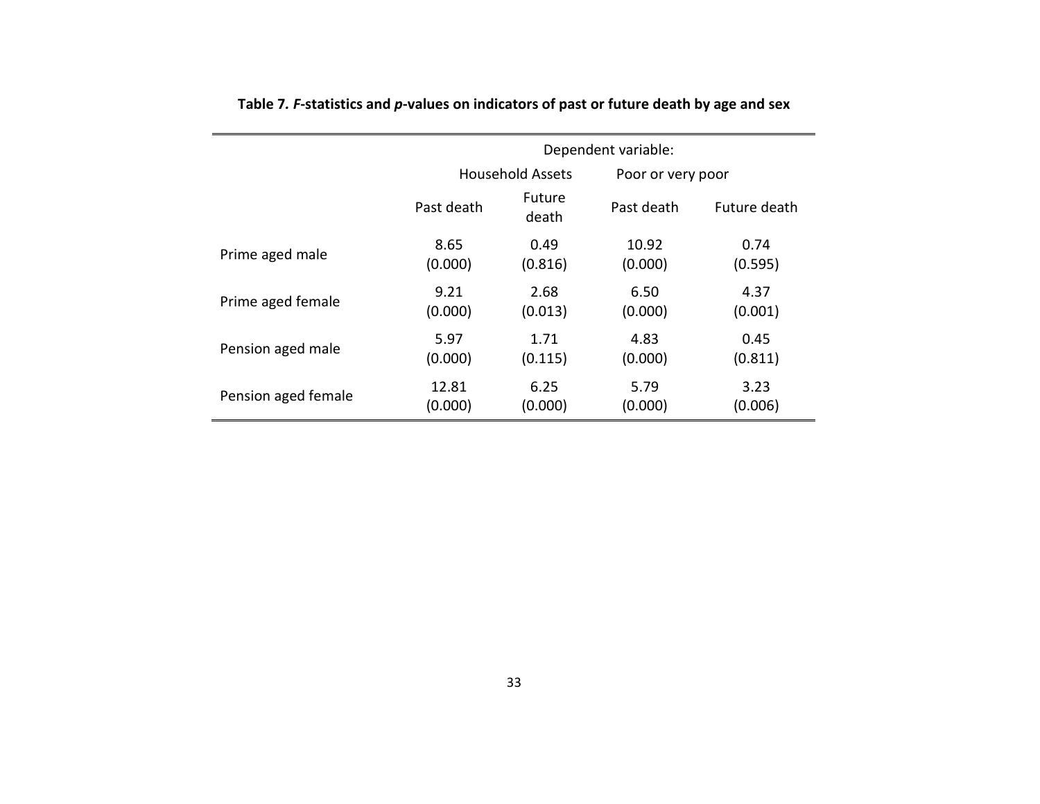|                     |            | Dependent variable:     |                   |              |  |  |  |
|---------------------|------------|-------------------------|-------------------|--------------|--|--|--|
|                     |            | <b>Household Assets</b> | Poor or very poor |              |  |  |  |
|                     | Past death | Future<br>death         |                   | Future death |  |  |  |
| Prime aged male     | 8.65       | 0.49                    | 10.92             | 0.74         |  |  |  |
|                     | (0.000)    | (0.816)                 | (0.000)           | (0.595)      |  |  |  |
| Prime aged female   | 9.21       | 2.68                    | 6.50              | 4.37         |  |  |  |
|                     | (0.000)    | (0.013)                 | (0.000)           | (0.001)      |  |  |  |
| Pension aged male   | 5.97       | 1.71                    | 4.83              | 0.45         |  |  |  |
|                     | (0.000)    | (0.115)                 | (0.000)           | (0.811)      |  |  |  |
| Pension aged female | 12.81      | 6.25                    | 5.79              | 3.23         |  |  |  |
|                     | (0.000)    | (0.000)                 | (0.000)           | (0.006)      |  |  |  |

**Table 7***. F***-statistics and** *p***-values on indicators of past or future death by age and sex**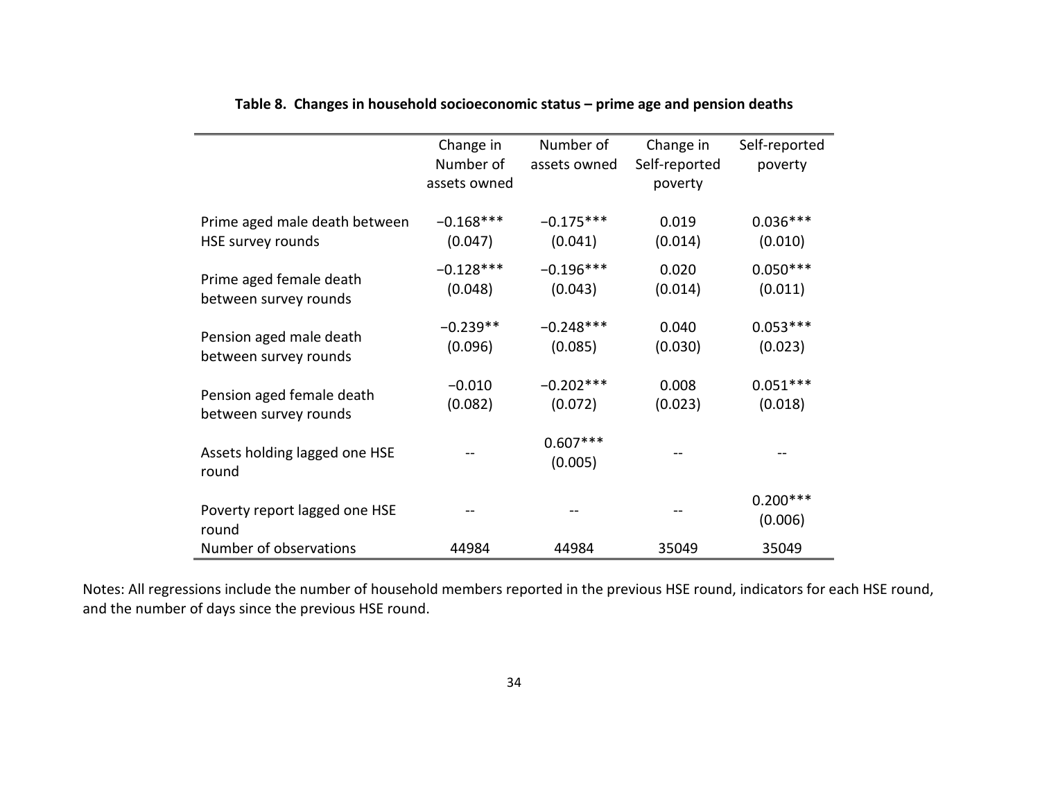|                                        | Change in<br>Number of<br>assets owned | Number of<br>assets owned | Change in<br>Self-reported<br>poverty | Self-reported<br>poverty |
|----------------------------------------|----------------------------------------|---------------------------|---------------------------------------|--------------------------|
| Prime aged male death between          | $-0.168***$                            | $-0.175***$               | 0.019                                 | $0.036***$               |
| HSE survey rounds                      | (0.047)                                | (0.041)                   | (0.014)                               | (0.010)                  |
| Prime aged female death                | $-0.128***$                            | $-0.196***$               | 0.020                                 | $0.050***$               |
| between survey rounds                  | (0.048)                                | (0.043)                   | (0.014)                               | (0.011)                  |
| Pension aged male death                | $-0.239**$                             | $-0.248***$               | 0.040                                 | $0.053***$               |
| between survey rounds                  | (0.096)                                | (0.085)                   | (0.030)                               | (0.023)                  |
| Pension aged female death              | $-0.010$                               | $-0.202***$               | 0.008                                 | $0.051***$               |
| between survey rounds                  | (0.082)                                | (0.072)                   | (0.023)                               | (0.018)                  |
| Assets holding lagged one HSE<br>round |                                        | $0.607***$<br>(0.005)     |                                       |                          |
| Poverty report lagged one HSE<br>round |                                        |                           |                                       | $0.200***$<br>(0.006)    |
| Number of observations                 | 44984                                  | 44984                     | 35049                                 | 35049                    |

## **Table 8. Changes in household socioeconomic status – prime age and pension deaths**

Notes: All regressions include the number of household members reported in the previous HSE round, indicators for each HSE round, and the number of days since the previous HSE round.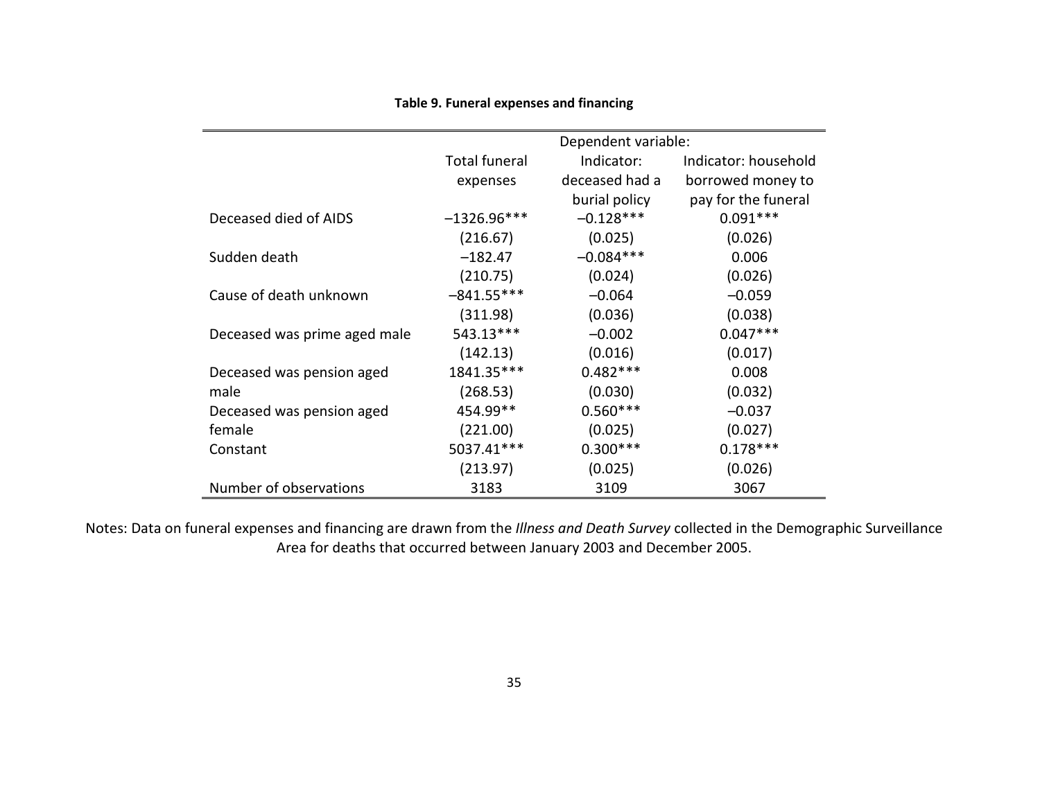| Table 9. Funeral expenses and financing |  |  |
|-----------------------------------------|--|--|
|-----------------------------------------|--|--|

|                              | Dependent variable:  |                |                      |  |  |  |
|------------------------------|----------------------|----------------|----------------------|--|--|--|
|                              | <b>Total funeral</b> | Indicator:     | Indicator: household |  |  |  |
|                              | expenses             | deceased had a | borrowed money to    |  |  |  |
|                              |                      | burial policy  | pay for the funeral  |  |  |  |
| Deceased died of AIDS        | $-1326.96***$        | $-0.128***$    | $0.091***$           |  |  |  |
|                              | (216.67)             | (0.025)        | (0.026)              |  |  |  |
| Sudden death                 | $-182.47$            | $-0.084***$    | 0.006                |  |  |  |
|                              | (210.75)             | (0.024)        | (0.026)              |  |  |  |
| Cause of death unknown       | $-841.55***$         | $-0.064$       | $-0.059$             |  |  |  |
|                              | (311.98)             | (0.036)        | (0.038)              |  |  |  |
| Deceased was prime aged male | 543.13***            | $-0.002$       | $0.047***$           |  |  |  |
|                              | (142.13)             | (0.016)        | (0.017)              |  |  |  |
| Deceased was pension aged    | 1841.35***           | $0.482***$     | 0.008                |  |  |  |
| male                         | (268.53)             | (0.030)        | (0.032)              |  |  |  |
| Deceased was pension aged    | 454.99**             | $0.560***$     | $-0.037$             |  |  |  |
| female                       | (221.00)             | (0.025)        | (0.027)              |  |  |  |
| Constant                     | 5037.41***           | $0.300***$     | $0.178***$           |  |  |  |
|                              | (213.97)             | (0.025)        | (0.026)              |  |  |  |
| Number of observations       | 3183                 | 3109           | 3067                 |  |  |  |

Notes: Data on funeral expenses and financing are drawn from the *Illness and Death Survey* collected in the Demographic Surveillance Area for deaths that occurred between January 2003 and December 2005.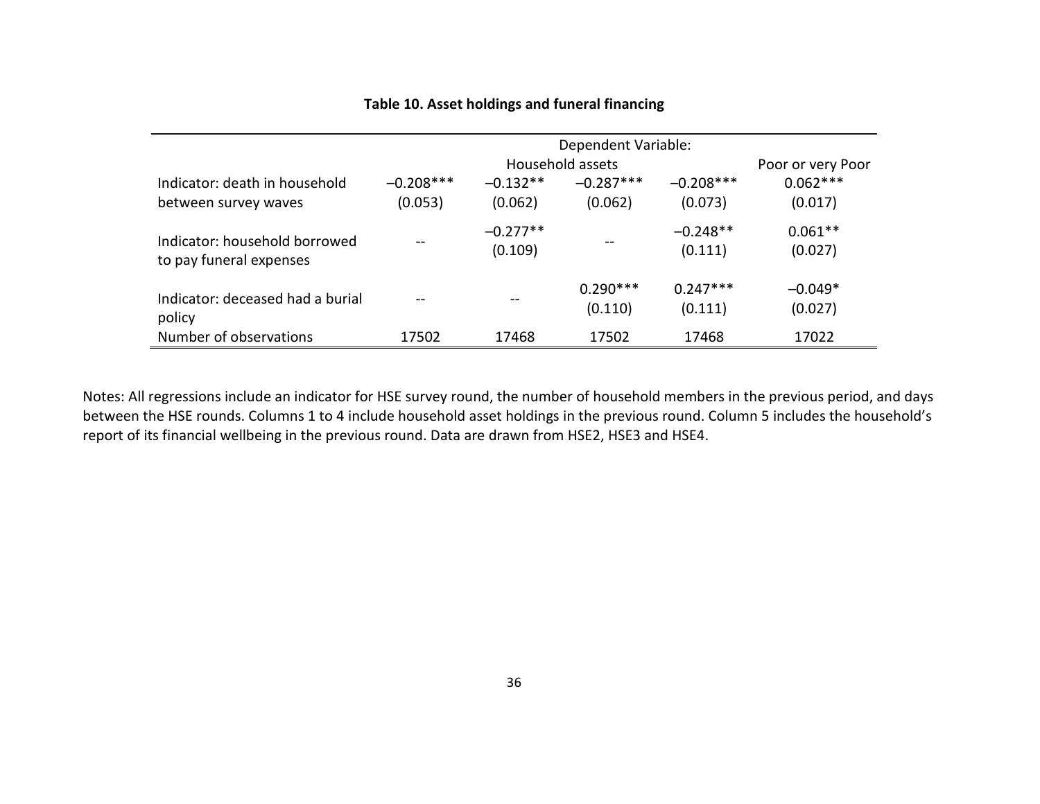## **Table 10. Asset holdings and funeral financing**

|                                                          | Dependent Variable: |                       |                       |                       |                      |  |
|----------------------------------------------------------|---------------------|-----------------------|-----------------------|-----------------------|----------------------|--|
|                                                          |                     |                       | Household assets      |                       | Poor or very Poor    |  |
| Indicator: death in household                            | $-0.208***$         | $-0.132**$            | $-0.287***$           | $-0.208***$           | $0.062***$           |  |
| between survey waves                                     | (0.053)             | (0.062)               | (0.062)               | (0.073)               | (0.017)              |  |
| Indicator: household borrowed<br>to pay funeral expenses |                     | $-0.277**$<br>(0.109) |                       | $-0.248**$<br>(0.111) | $0.061**$<br>(0.027) |  |
| Indicator: deceased had a burial<br>policy               |                     |                       | $0.290***$<br>(0.110) | $0.247***$<br>(0.111) | $-0.049*$<br>(0.027) |  |
| Number of observations                                   | 17502               | 17468                 | 17502                 | 17468                 | 17022                |  |

Notes: All regressions include an indicator for HSE survey round, the number of household members in the previous period, and days between the HSE rounds. Columns 1 to 4 include household asset holdings in the previous round. Column 5 includes the household's report of its financial wellbeing in the previous round. Data are drawn from HSE2, HSE3 and HSE4.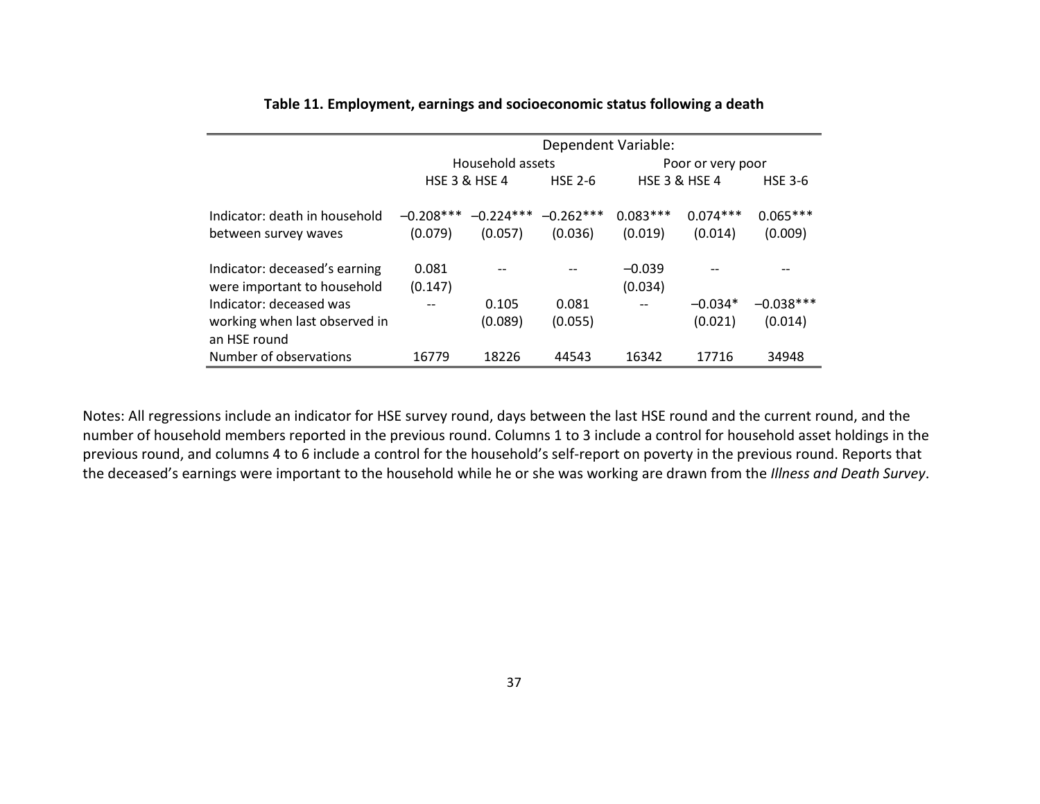|                                                                          | Dependent Variable:    |                          |                        |                          |                       |                        |  |
|--------------------------------------------------------------------------|------------------------|--------------------------|------------------------|--------------------------|-----------------------|------------------------|--|
|                                                                          |                        | Household assets         |                        | Poor or very poor        |                       |                        |  |
|                                                                          |                        | <b>HSE 3 &amp; HSE 4</b> | <b>HSE 2-6</b>         | <b>HSE 3 &amp; HSE 4</b> |                       | <b>HSE 3-6</b>         |  |
| Indicator: death in household<br>between survey waves                    | $-0.208***$<br>(0.079) | $-0.224***$<br>(0.057)   | $-0.262***$<br>(0.036) | $0.083***$<br>(0.019)    | $0.074***$<br>(0.014) | $0.065***$<br>(0.009)  |  |
| Indicator: deceased's earning<br>were important to household             | 0.081<br>(0.147)       |                          |                        | $-0.039$<br>(0.034)      |                       |                        |  |
| Indicator: deceased was<br>working when last observed in<br>an HSE round | $- -$                  | 0.105<br>(0.089)         | 0.081<br>(0.055)       | $- -$                    | $-0.034*$<br>(0.021)  | $-0.038***$<br>(0.014) |  |
| Number of observations                                                   | 16779                  | 18226                    | 44543                  | 16342                    | 17716                 | 34948                  |  |

### **Table 11. Employment, earnings and socioeconomic status following a death**

Notes: All regressions include an indicator for HSE survey round, days between the last HSE round and the current round, and the number of household members reported in the previous round. Columns 1 to 3 include a control for household asset holdings in the previous round, and columns 4 to 6 include a control for the household's self-report on poverty in the previous round. Reports that the deceased's earnings were important to the household while he or she was working are drawn from the *Illness and Death Survey*.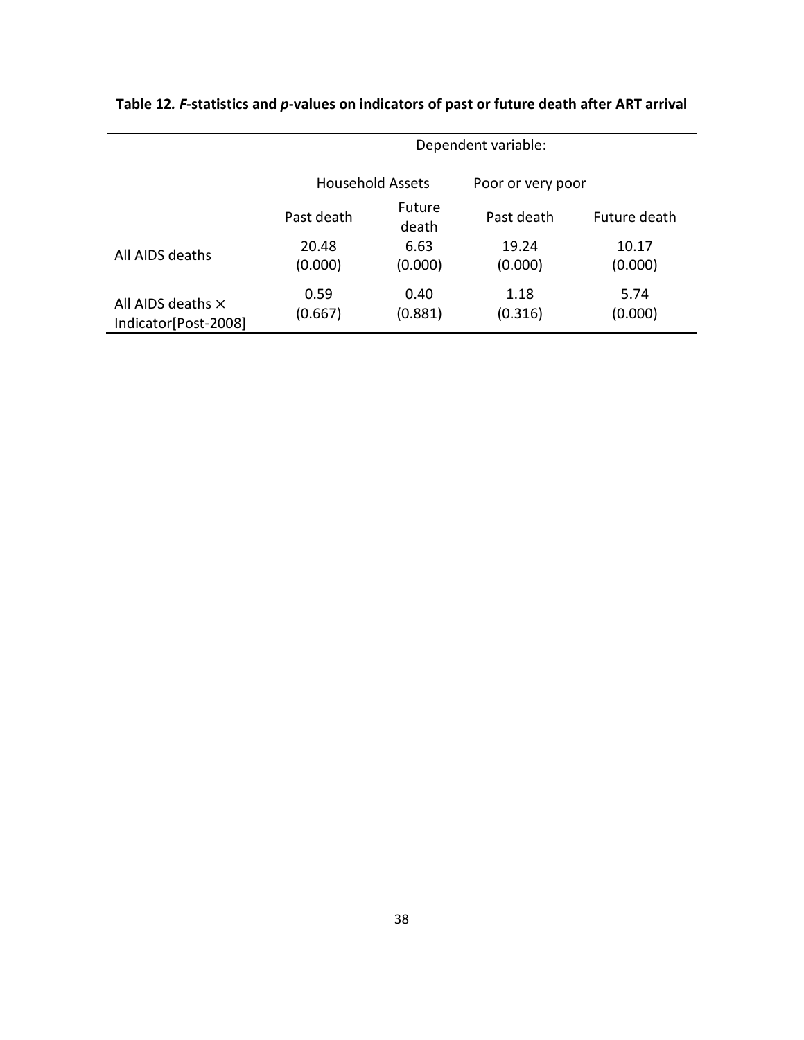|                                                  | Dependent variable: |                 |                   |                  |
|--------------------------------------------------|---------------------|-----------------|-------------------|------------------|
|                                                  | Household Assets    |                 | Poor or very poor |                  |
|                                                  | Past death          | Future<br>death | Past death        | Future death     |
| All AIDS deaths                                  | 20.48<br>(0.000)    | 6.63<br>(0.000) | 19.24<br>(0.000)  | 10.17<br>(0.000) |
| All AIDS deaths $\times$<br>Indicator[Post-2008] | 0.59<br>(0.667)     | 0.40<br>(0.881) | 1.18<br>(0.316)   | 5.74<br>(0.000)  |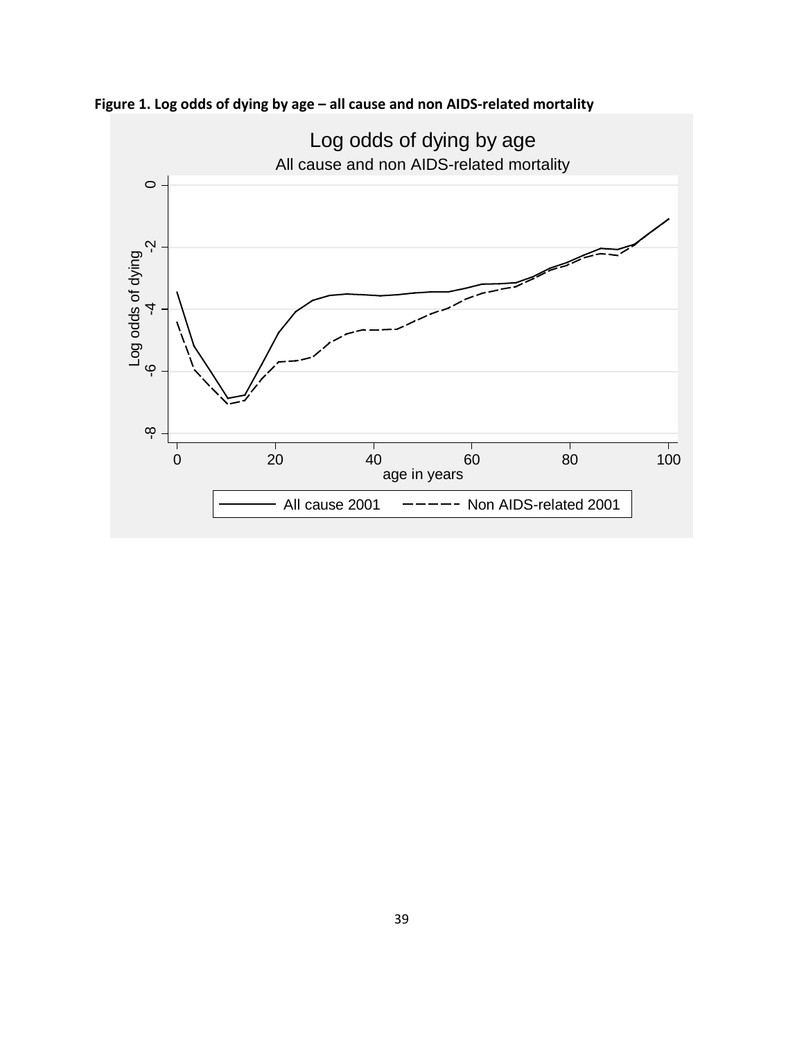

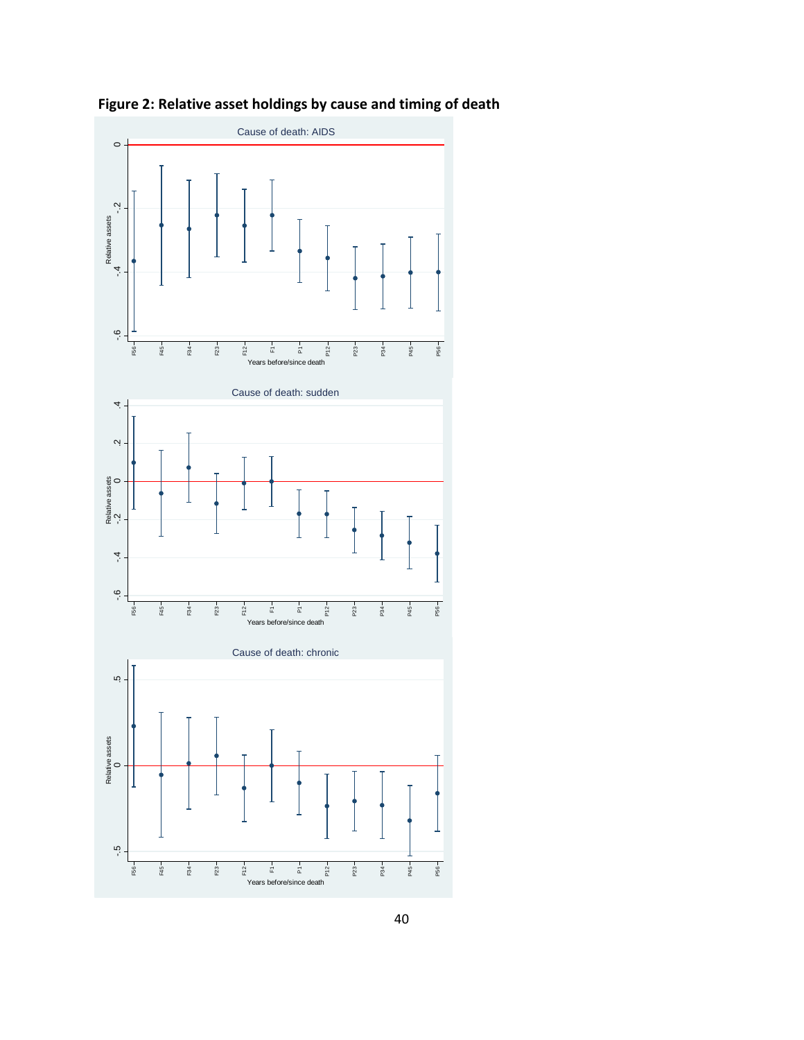

**Figure 2: Relative asset holdings by cause and timing of death**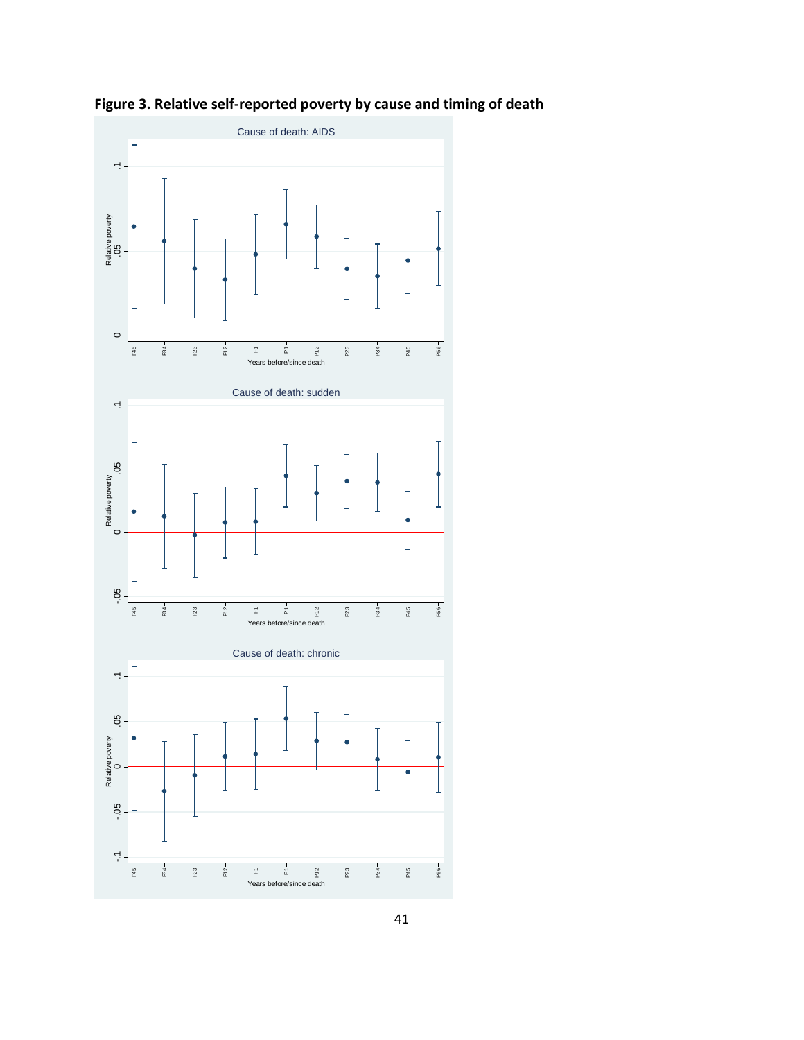

**Figure 3. Relative self-reported poverty by cause and timing of death**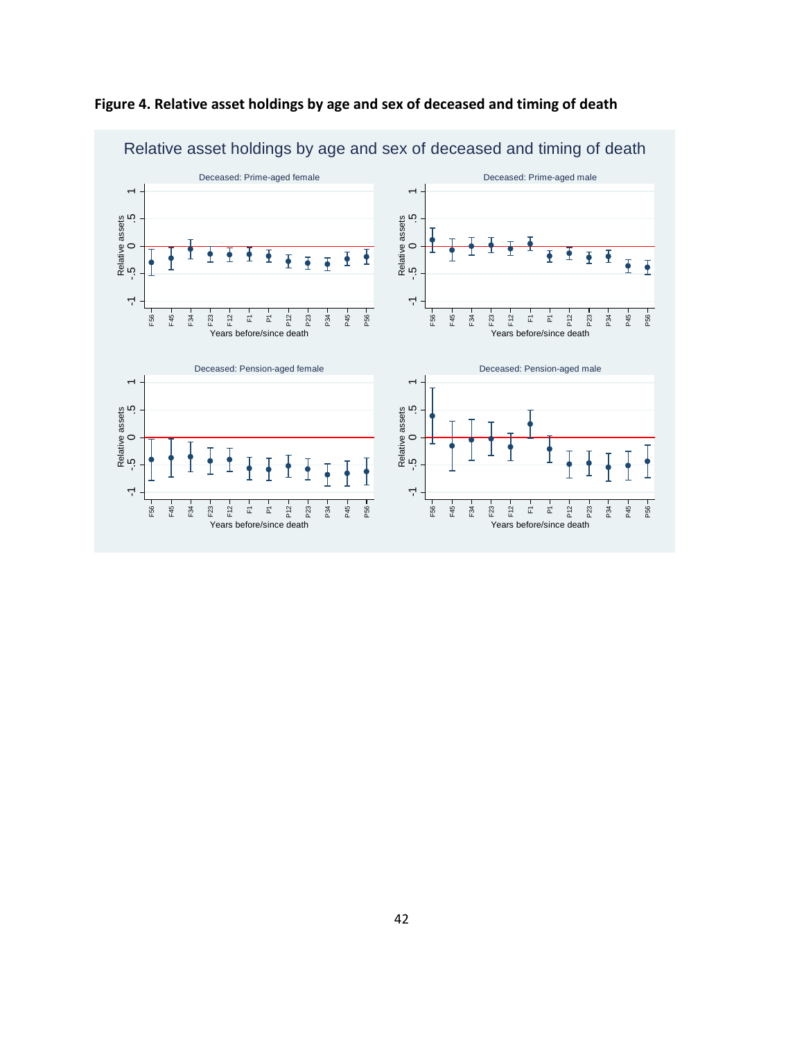

**Figure 4. Relative asset holdings by age and sex of deceased and timing of death**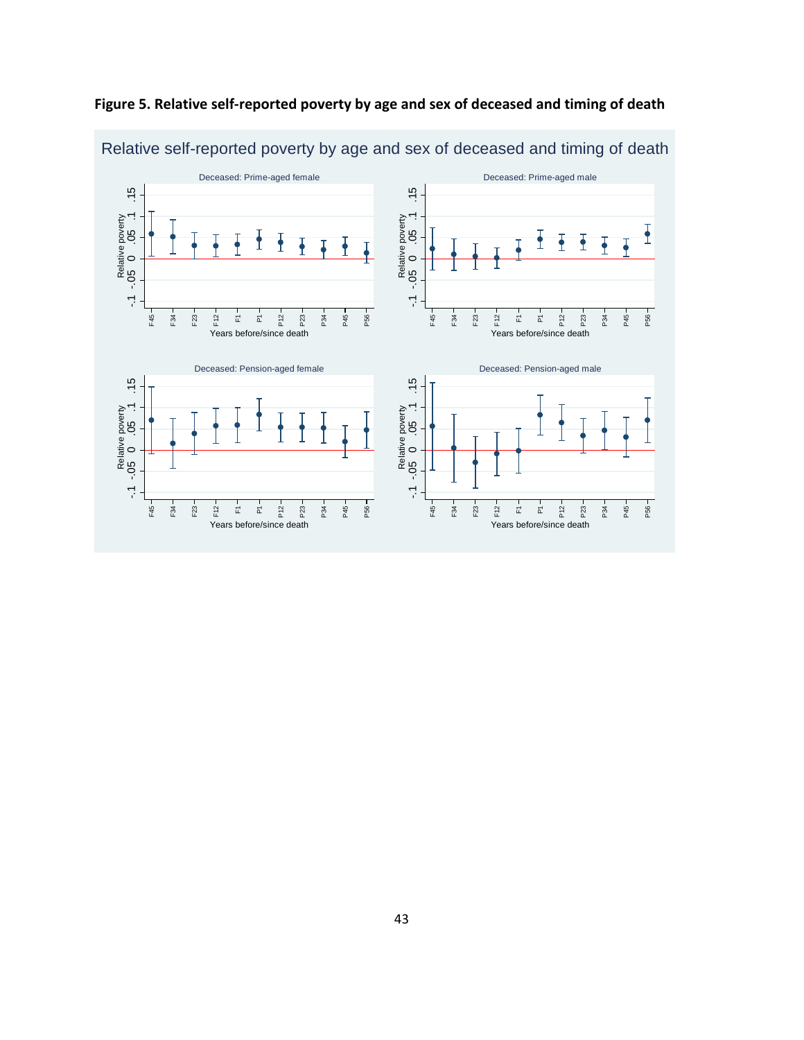

## **Figure 5. Relative self-reported poverty by age and sex of deceased and timing of death**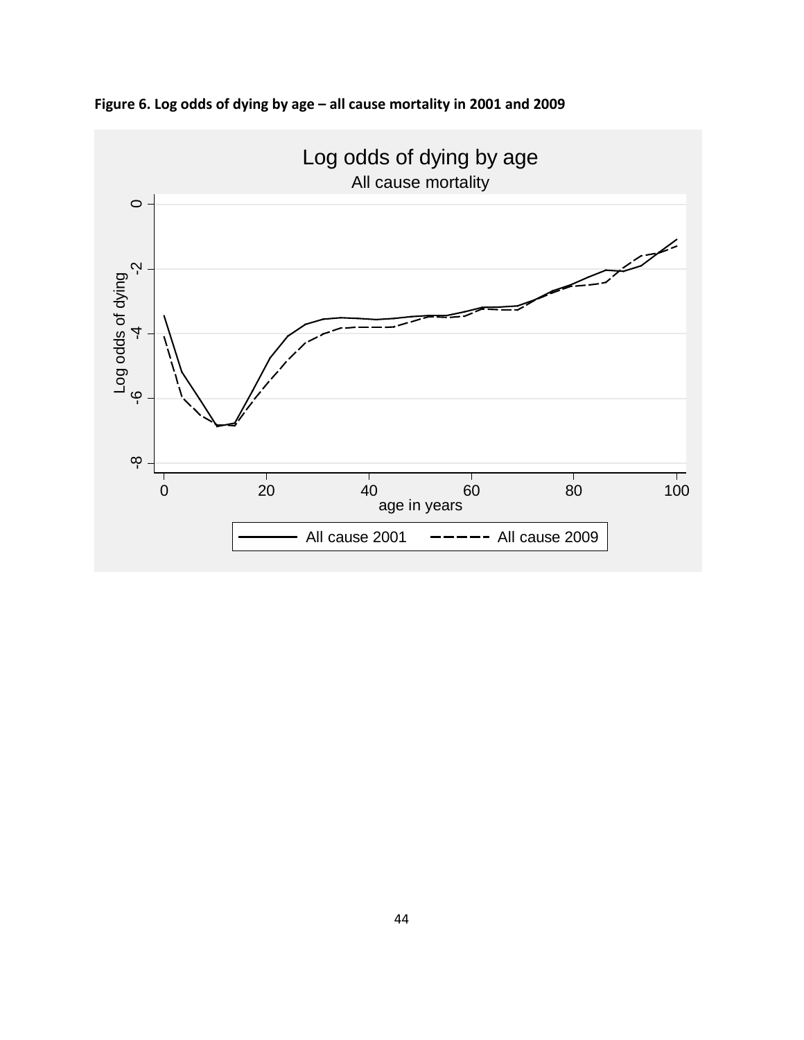

**Figure 6. Log odds of dying by age – all cause mortality in 2001 and 2009**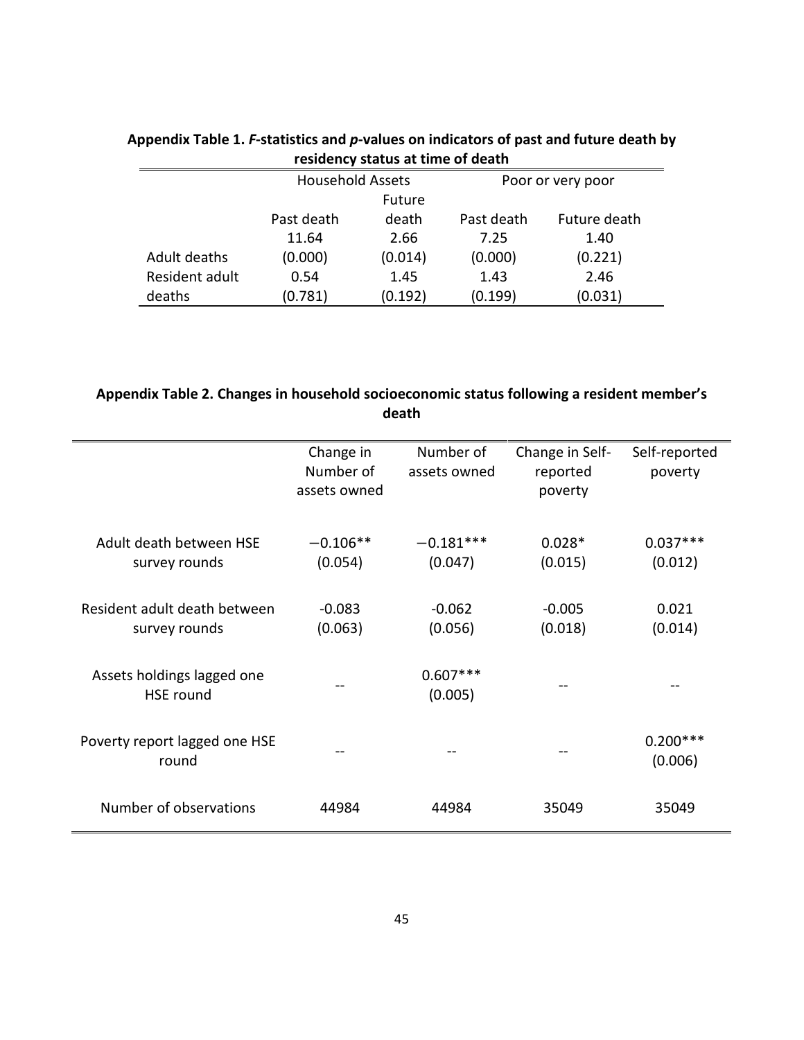| Testachev status at three or acath |                         |         |                   |              |
|------------------------------------|-------------------------|---------|-------------------|--------------|
|                                    | <b>Household Assets</b> |         | Poor or very poor |              |
|                                    | Future                  |         |                   |              |
|                                    | Past death              | death   | Past death        | Future death |
|                                    | 11.64                   | 2.66    | 7.25              | 1.40         |
| Adult deaths                       | (0.000)                 | (0.014) | (0.000)           | (0.221)      |
| Resident adult                     | 0.54                    | 1.45    | 1.43              | 2.46         |
| deaths                             | (0.781)                 | (0.192) | (0.199)           | (0.031)      |

## **Appendix Table 1.** *F***-statistics and** *p***-values on indicators of past and future death by residency status at time of death**

## **Appendix Table 2. Changes in household socioeconomic status following a resident member's death**

|                                                | Change in<br>Number of<br>assets owned | Number of<br>assets owned | Change in Self-<br>reported<br>poverty | Self-reported<br>poverty |
|------------------------------------------------|----------------------------------------|---------------------------|----------------------------------------|--------------------------|
| Adult death between HSE<br>survey rounds       | $-0.106**$<br>(0.054)                  | $-0.181***$<br>(0.047)    | $0.028*$<br>(0.015)                    | $0.037***$<br>(0.012)    |
| Resident adult death between<br>survey rounds  | $-0.083$<br>(0.063)                    | $-0.062$<br>(0.056)       | $-0.005$<br>(0.018)                    | 0.021<br>(0.014)         |
| Assets holdings lagged one<br><b>HSE</b> round |                                        | $0.607***$<br>(0.005)     |                                        |                          |
| Poverty report lagged one HSE<br>round         |                                        |                           |                                        | $0.200***$<br>(0.006)    |
| Number of observations                         | 44984                                  | 44984                     | 35049                                  | 35049                    |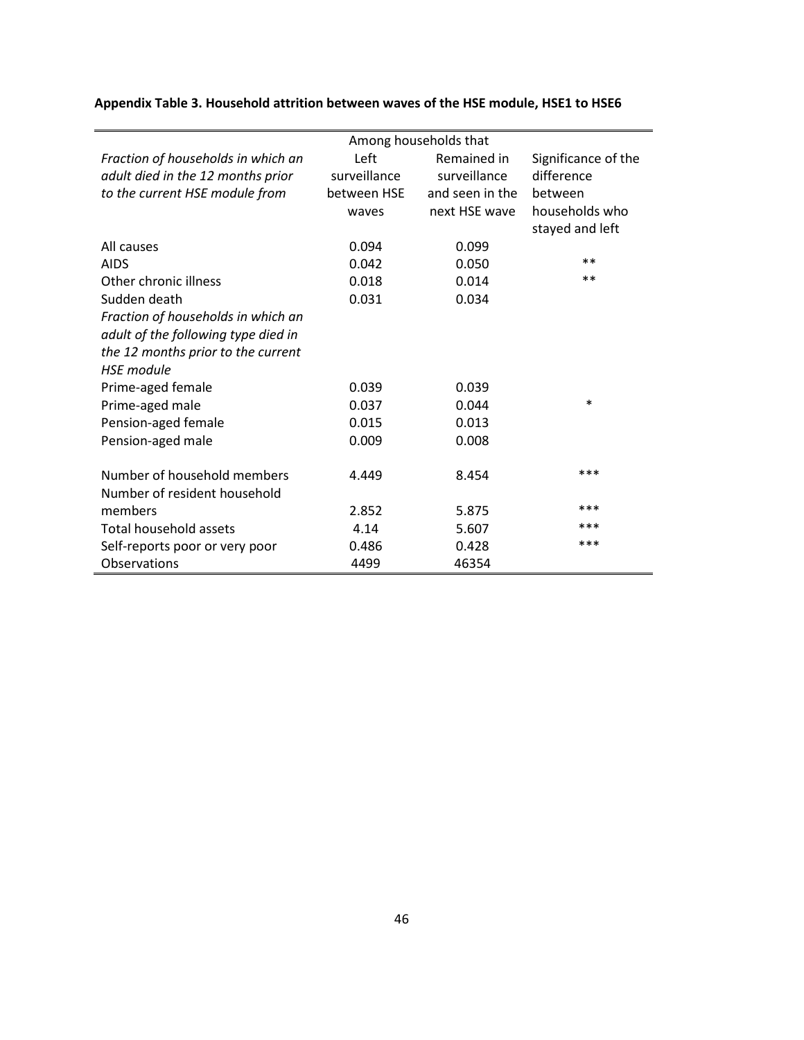|                                     | Among households that |                 |                     |  |
|-------------------------------------|-----------------------|-----------------|---------------------|--|
| Fraction of households in which an  | Left                  | Remained in     | Significance of the |  |
| adult died in the 12 months prior   | surveillance          | surveillance    | difference          |  |
| to the current HSE module from      | between HSE           | and seen in the | between             |  |
|                                     | waves                 | next HSE wave   | households who      |  |
|                                     |                       |                 | stayed and left     |  |
| All causes                          | 0.094                 | 0.099           |                     |  |
| <b>AIDS</b>                         | 0.042                 | 0.050           | $* *$               |  |
| Other chronic illness               | 0.018                 | 0.014           | $***$               |  |
| Sudden death                        | 0.031                 | 0.034           |                     |  |
| Fraction of households in which an  |                       |                 |                     |  |
| adult of the following type died in |                       |                 |                     |  |
| the 12 months prior to the current  |                       |                 |                     |  |
| <b>HSF</b> module                   |                       |                 |                     |  |
| Prime-aged female                   | 0.039                 | 0.039           |                     |  |
| Prime-aged male                     | 0.037                 | 0.044           | $\ast$              |  |
| Pension-aged female                 | 0.015                 | 0.013           |                     |  |
| Pension-aged male                   | 0.009                 | 0.008           |                     |  |
|                                     |                       |                 |                     |  |
| Number of household members         | 4.449                 | 8.454           | ***                 |  |
| Number of resident household        |                       |                 |                     |  |
| members                             | 2.852                 | 5.875           | ***                 |  |
| Total household assets              | 4.14                  | 5.607           | ***                 |  |
| Self-reports poor or very poor      | 0.486                 | 0.428           | ***                 |  |
| Observations                        | 4499                  | 46354           |                     |  |

# **Appendix Table 3. Household attrition between waves of the HSE module, HSE1 to HSE6**